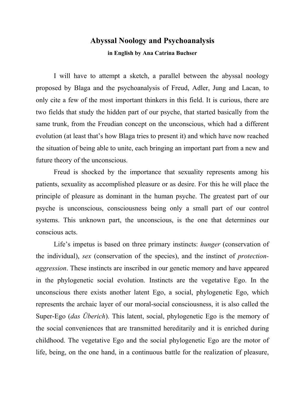## **Abyssal Noology and Psychoanalysis**

## **in English by Ana Catrina Buchser**

 I will have to attempt a sketch, a parallel between the abyssal noology proposed by Blaga and the psychoanalysis of Freud, Adler, Jung and Lacan, to only cite a few of the most important thinkers in this field. It is curious, there are two fields that study the hidden part of our psyche, that started basically from the same trunk, from the Freudian concept on the unconscious, which had a different evolution (at least that's how Blaga tries to present it) and which have now reached the situation of being able to unite, each bringing an important part from a new and future theory of the unconscious.

 Freud is shocked by the importance that sexuality represents among his patients, sexuality as accomplished pleasure or as desire. For this he will place the principle of pleasure as dominant in the human psyche. The greatest part of our psyche is unconscious, consciousness being only a small part of our control systems. This unknown part, the unconscious, is the one that determines our conscious acts.

 Life's impetus is based on three primary instincts: *hunger* (conservation of the individual), *sex* (conservation of the species), and the instinct of *protectionaggression*. These instincts are inscribed in our genetic memory and have appeared in the phylogenetic social evolution. Instincts are the vegetative Ego. In the unconscious there exists another latent Ego, a social, phylogenetic Ego, which represents the archaic layer of our moral-social consciousness, it is also called the Super-Ego (*das Überich*). This latent, social, phylogenetic Ego is the memory of the social conveniences that are transmitted hereditarily and it is enriched during childhood. The vegetative Ego and the social phylogenetic Ego are the motor of life, being, on the one hand, in a continuous battle for the realization of pleasure,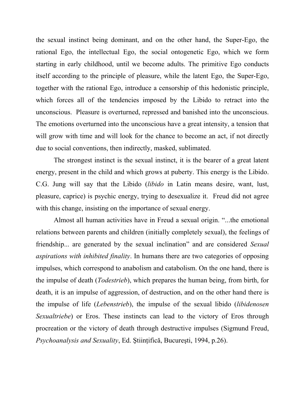the sexual instinct being dominant, and on the other hand, the Super-Ego, the rational Ego, the intellectual Ego, the social ontogenetic Ego, which we form starting in early childhood, until we become adults. The primitive Ego conducts itself according to the principle of pleasure, while the latent Ego, the Super-Ego, together with the rational Ego, introduce a censorship of this hedonistic principle, which forces all of the tendencies imposed by the Libido to retract into the unconscious. Pleasure is overturned, repressed and banished into the unconscious. The emotions overturned into the unconscious have a great intensity, a tension that will grow with time and will look for the chance to become an act, if not directly due to social conventions, then indirectly, masked, sublimated.

 The strongest instinct is the sexual instinct, it is the bearer of a great latent energy, present in the child and which grows at puberty. This energy is the Libido. C.G. Jung will say that the Libido (*libido* in Latin means desire, want, lust, pleasure, caprice) is psychic energy, trying to desexualize it. Freud did not agree with this change, insisting on the importance of sexual energy.

 Almost all human activities have in Freud a sexual origin. "...the emotional relations between parents and children (initially completely sexual), the feelings of friendship... are generated by the sexual inclination" and are considered *Sexual aspirations with inhibited finality*. In humans there are two categories of opposing impulses, which correspond to anabolism and catabolism. On the one hand, there is the impulse of death (*Todestrieb*), which prepares the human being, from birth, for death, it is an impulse of aggression, of destruction, and on the other hand there is the impulse of life (*Lebenstrieb*), the impulse of the sexual libido (*libidenosen Sexualtriebe*) or Eros. These instincts can lead to the victory of Eros through procreation or the victory of death through destructive impulses (Sigmund Freud, *Psychoanalysis and Sexuality*, Ed. Ştiinţifică, Bucureşti, 1994, p.26).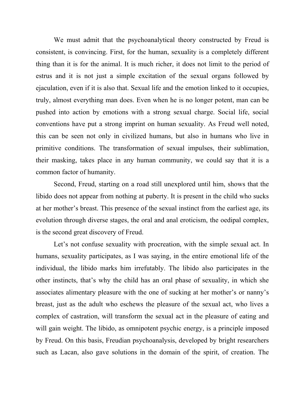We must admit that the psychoanalytical theory constructed by Freud is consistent, is convincing. First, for the human, sexuality is a completely different thing than it is for the animal. It is much richer, it does not limit to the period of estrus and it is not just a simple excitation of the sexual organs followed by ejaculation, even if it is also that. Sexual life and the emotion linked to it occupies, truly, almost everything man does. Even when he is no longer potent, man can be pushed into action by emotions with a strong sexual charge. Social life, social conventions have put a strong imprint on human sexuality. As Freud well noted, this can be seen not only in civilized humans, but also in humans who live in primitive conditions. The transformation of sexual impulses, their sublimation, their masking, takes place in any human community, we could say that it is a common factor of humanity.

 Second, Freud, starting on a road still unexplored until him, shows that the libido does not appear from nothing at puberty. It is present in the child who sucks at her mother's breast. This presence of the sexual instinct from the earliest age, its evolution through diverse stages, the oral and anal eroticism, the oedipal complex, is the second great discovery of Freud.

Let's not confuse sexuality with procreation, with the simple sexual act. In humans, sexuality participates, as I was saying, in the entire emotional life of the individual, the libido marks him irrefutably. The libido also participates in the other instincts, that's why the child has an oral phase of sexuality, in which she associates alimentary pleasure with the one of sucking at her mother's or nanny's breast, just as the adult who eschews the pleasure of the sexual act, who lives a complex of castration, will transform the sexual act in the pleasure of eating and will gain weight. The libido, as omnipotent psychic energy, is a principle imposed by Freud. On this basis, Freudian psychoanalysis, developed by bright researchers such as Lacan, also gave solutions in the domain of the spirit, of creation. The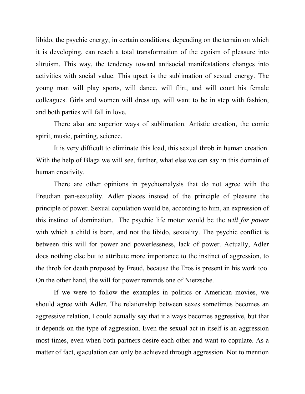libido, the psychic energy, in certain conditions, depending on the terrain on which it is developing, can reach a total transformation of the egoism of pleasure into altruism. This way, the tendency toward antisocial manifestations changes into activities with social value. This upset is the sublimation of sexual energy. The young man will play sports, will dance, will flirt, and will court his female colleagues. Girls and women will dress up, will want to be in step with fashion, and both parties will fall in love.

 There also are superior ways of sublimation. Artistic creation, the comic spirit, music, painting, science.

 It is very difficult to eliminate this load, this sexual throb in human creation. With the help of Blaga we will see, further, what else we can say in this domain of human creativity.

 There are other opinions in psychoanalysis that do not agree with the Freudian pan-sexuality. Adler places instead of the principle of pleasure the principle of power. Sexual copulation would be, according to him, an expression of this instinct of domination. The psychic life motor would be the *will for power* with which a child is born, and not the libido, sexuality. The psychic conflict is between this will for power and powerlessness, lack of power. Actually, Adler does nothing else but to attribute more importance to the instinct of aggression, to the throb for death proposed by Freud, because the Eros is present in his work too. On the other hand, the will for power reminds one of Nietzsche.

 If we were to follow the examples in politics or American movies, we should agree with Adler. The relationship between sexes sometimes becomes an aggressive relation, I could actually say that it always becomes aggressive, but that it depends on the type of aggression. Even the sexual act in itself is an aggression most times, even when both partners desire each other and want to copulate. As a matter of fact, ejaculation can only be achieved through aggression. Not to mention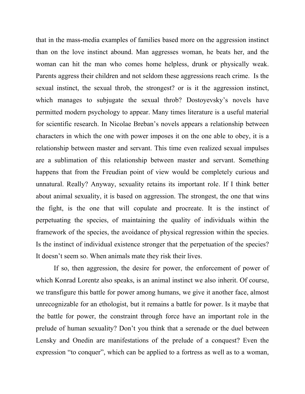that in the mass-media examples of families based more on the aggression instinct than on the love instinct abound. Man aggresses woman, he beats her, and the woman can hit the man who comes home helpless, drunk or physically weak. Parents aggress their children and not seldom these aggressions reach crime. Is the sexual instinct, the sexual throb, the strongest? or is it the aggression instinct, which manages to subjugate the sexual throb? Dostoyevsky's novels have permitted modern psychology to appear. Many times literature is a useful material for scientific research. In Nicolae Breban's novels appears a relationship between characters in which the one with power imposes it on the one able to obey, it is a relationship between master and servant. This time even realized sexual impulses are a sublimation of this relationship between master and servant. Something happens that from the Freudian point of view would be completely curious and unnatural. Really? Anyway, sexuality retains its important role. If I think better about animal sexuality, it is based on aggression. The strongest, the one that wins the fight, is the one that will copulate and procreate. It is the instinct of perpetuating the species, of maintaining the quality of individuals within the framework of the species, the avoidance of physical regression within the species. Is the instinct of individual existence stronger that the perpetuation of the species? It doesn't seem so. When animals mate they risk their lives.

 If so, then aggression, the desire for power, the enforcement of power of which Konrad Lorentz also speaks, is an animal instinct we also inherit. Of course, we transfigure this battle for power among humans, we give it another face, almost unrecognizable for an ethologist, but it remains a battle for power. Is it maybe that the battle for power, the constraint through force have an important role in the prelude of human sexuality? Don't you think that a serenade or the duel between Lensky and Onedin are manifestations of the prelude of a conquest? Even the expression "to conquer", which can be applied to a fortress as well as to a woman,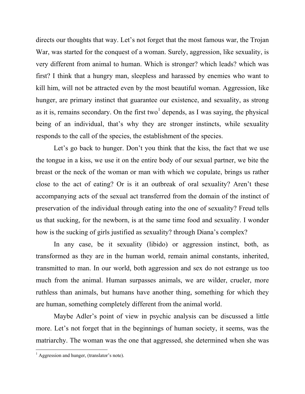directs our thoughts that way. Let's not forget that the most famous war, the Trojan War, was started for the conquest of a woman. Surely, aggression, like sexuality, is very different from animal to human. Which is stronger? which leads? which was first? I think that a hungry man, sleepless and harassed by enemies who want to kill him, will not be attracted even by the most beautiful woman. Aggression, like hunger, are primary instinct that guarantee our existence, and sexuality, as strong as it is, remains secondary. On the first two<sup>[1](#page-5-0)</sup> depends, as I was saying, the physical being of an individual, that's why they are stronger instincts, while sexuality responds to the call of the species, the establishment of the species.

 Let's go back to hunger. Don't you think that the kiss, the fact that we use the tongue in a kiss, we use it on the entire body of our sexual partner, we bite the breast or the neck of the woman or man with which we copulate, brings us rather close to the act of eating? Or is it an outbreak of oral sexuality? Aren't these accompanying acts of the sexual act transferred from the domain of the instinct of preservation of the individual through eating into the one of sexuality? Freud tells us that sucking, for the newborn, is at the same time food and sexuality. I wonder how is the sucking of girls justified as sexuality? through Diana's complex?

 In any case, be it sexuality (libido) or aggression instinct, both, as transformed as they are in the human world, remain animal constants, inherited, transmitted to man. In our world, both aggression and sex do not estrange us too much from the animal. Human surpasses animals, we are wilder, crueler, more ruthless than animals, but humans have another thing, something for which they are human, something completely different from the animal world.

 Maybe Adler's point of view in psychic analysis can be discussed a little more. Let's not forget that in the beginnings of human society, it seems, was the matriarchy. The woman was the one that aggressed, she determined when she was

 $\overline{a}$ 

<span id="page-5-0"></span><sup>&</sup>lt;sup>1</sup> Aggression and hunger, (translator's note).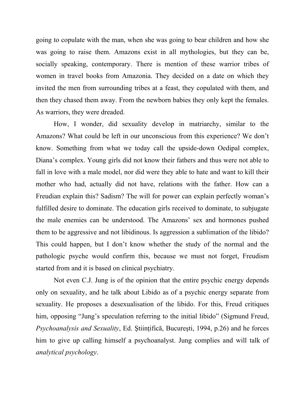going to copulate with the man, when she was going to bear children and how she was going to raise them. Amazons exist in all mythologies, but they can be, socially speaking, contemporary. There is mention of these warrior tribes of women in travel books from Amazonia. They decided on a date on which they invited the men from surrounding tribes at a feast, they copulated with them, and then they chased them away. From the newborn babies they only kept the females. As warriors, they were dreaded.

 How, I wonder, did sexuality develop in matriarchy, similar to the Amazons? What could be left in our unconscious from this experience? We don't know. Something from what we today call the upside-down Oedipal complex, Diana's complex. Young girls did not know their fathers and thus were not able to fall in love with a male model, nor did were they able to hate and want to kill their mother who had, actually did not have, relations with the father. How can a Freudian explain this? Sadism? The will for power can explain perfectly woman's fulfilled desire to dominate. The education girls received to dominate, to subjugate the male enemies can be understood. The Amazons' sex and hormones pushed them to be aggressive and not libidinous. Is aggression a sublimation of the libido? This could happen, but I don't know whether the study of the normal and the pathologic psyche would confirm this, because we must not forget, Freudism started from and it is based on clinical psychiatry.

 Not even C.J. Jung is of the opinion that the entire psychic energy depends only on sexuality, and he talk about Libido as of a psychic energy separate from sexuality. He proposes a desexualisation of the libido. For this, Freud critiques him, opposing "Jung's speculation referring to the initial libido" (Sigmund Freud, *Psychoanalysis and Sexuality*, Ed. Ştiinţifică, Bucureşti, 1994, p.26) and he forces him to give up calling himself a psychoanalyst. Jung complies and will talk of *analytical psychology*.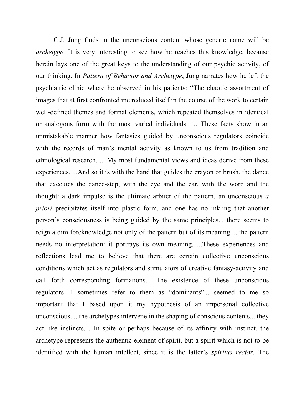C.J. Jung finds in the unconscious content whose generic name will be *archetype*. It is very interesting to see how he reaches this knowledge, because herein lays one of the great keys to the understanding of our psychic activity, of our thinking. In *Pattern of Behavior and Archetype*, Jung narrates how he left the psychiatric clinic where he observed in his patients: "The chaotic assortment of images that at first confronted me reduced itself in the course of the work to certain well-defined themes and formal elements, which repeated themselves in identical or analogous form with the most varied individuals. … These facts show in an unmistakable manner how fantasies guided by unconscious regulators coincide with the records of man's mental activity as known to us from tradition and ethnological research. ... My most fundamental views and ideas derive from these experiences. ...And so it is with the hand that guides the crayon or brush, the dance that executes the dance-step, with the eye and the ear, with the word and the thought: a dark impulse is the ultimate arbiter of the pattern, an unconscious *a priori* precipitates itself into plastic form, and one has no inkling that another person's consciousness is being guided by the same principles... there seems to reign a dim foreknowledge not only of the pattern but of its meaning. ...the pattern needs no interpretation: it portrays its own meaning. ...These experiences and reflections lead me to believe that there are certain collective unconscious conditions which act as regulators and stimulators of creative fantasy-activity and call forth corresponding formations... The existence of these unconscious regulators—I sometimes refer to them as "dominants"... seemed to me so important that I based upon it my hypothesis of an impersonal collective unconscious. ...the archetypes intervene in the shaping of conscious contents... they act like instincts. ...In spite or perhaps because of its affinity with instinct, the archetype represents the authentic element of spirit, but a spirit which is not to be identified with the human intellect, since it is the latter's *spiritus rector*. The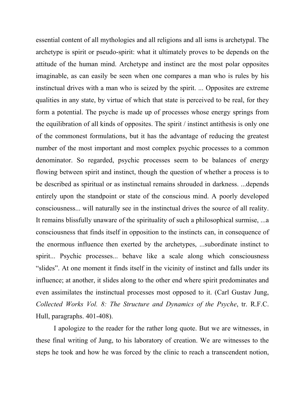essential content of all mythologies and all religions and all isms is archetypal. The archetype is spirit or pseudo-spirit: what it ultimately proves to be depends on the attitude of the human mind. Archetype and instinct are the most polar opposites imaginable, as can easily be seen when one compares a man who is rules by his instinctual drives with a man who is seized by the spirit. ... Opposites are extreme qualities in any state, by virtue of which that state is perceived to be real, for they form a potential. The psyche is made up of processes whose energy springs from the equilibration of all kinds of opposites. The spirit / instinct antithesis is only one of the commonest formulations, but it has the advantage of reducing the greatest number of the most important and most complex psychic processes to a common denominator. So regarded, psychic processes seem to be balances of energy flowing between spirit and instinct, though the question of whether a process is to be described as spiritual or as instinctual remains shrouded in darkness. ...depends entirely upon the standpoint or state of the conscious mind. A poorly developed consciousness... will naturally see in the instinctual drives the source of all reality. It remains blissfully unaware of the spirituality of such a philosophical surmise, ...a consciousness that finds itself in opposition to the instincts can, in consequence of the enormous influence then exerted by the archetypes, ...subordinate instinct to spirit... Psychic processes... behave like a scale along which consciousness "slides". At one moment it finds itself in the vicinity of instinct and falls under its influence; at another, it slides along to the other end where spirit predominates and even assimilates the instinctual processes most opposed to it. (Carl Gustav Jung, *Collected Works Vol. 8: The Structure and Dynamics of the Psyche*, tr. R.F.C. Hull, paragraphs. 401-408).

 I apologize to the reader for the rather long quote. But we are witnesses, in these final writing of Jung, to his laboratory of creation. We are witnesses to the steps he took and how he was forced by the clinic to reach a transcendent notion,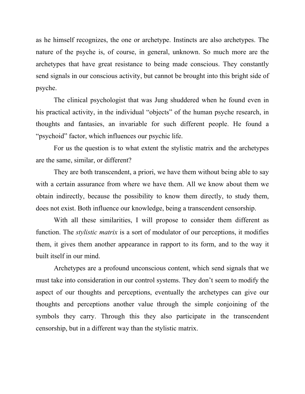as he himself recognizes, the one or archetype. Instincts are also archetypes. The nature of the psyche is, of course, in general, unknown. So much more are the archetypes that have great resistance to being made conscious. They constantly send signals in our conscious activity, but cannot be brought into this bright side of psyche.

 The clinical psychologist that was Jung shuddered when he found even in his practical activity, in the individual "objects" of the human psyche research, in thoughts and fantasies, an invariable for such different people. He found a "psychoid" factor, which influences our psychic life.

 For us the question is to what extent the stylistic matrix and the archetypes are the same, similar, or different?

 They are both transcendent, a priori, we have them without being able to say with a certain assurance from where we have them. All we know about them we obtain indirectly, because the possibility to know them directly, to study them, does not exist. Both influence our knowledge, being a transcendent censorship.

 With all these similarities, I will propose to consider them different as function. The *stylistic matrix* is a sort of modulator of our perceptions, it modifies them, it gives them another appearance in rapport to its form, and to the way it built itself in our mind.

 Archetypes are a profound unconscious content, which send signals that we must take into consideration in our control systems. They don't seem to modify the aspect of our thoughts and perceptions, eventually the archetypes can give our thoughts and perceptions another value through the simple conjoining of the symbols they carry. Through this they also participate in the transcendent censorship, but in a different way than the stylistic matrix.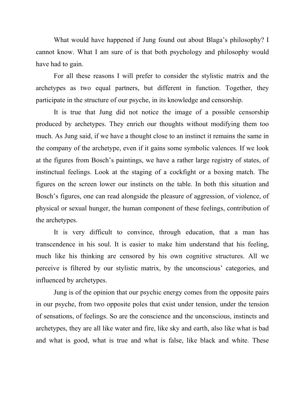What would have happened if Jung found out about Blaga's philosophy? I cannot know. What I am sure of is that both psychology and philosophy would have had to gain.

 For all these reasons I will prefer to consider the stylistic matrix and the archetypes as two equal partners, but different in function. Together, they participate in the structure of our psyche, in its knowledge and censorship.

 It is true that Jung did not notice the image of a possible censorship produced by archetypes. They enrich our thoughts without modifying them too much. As Jung said, if we have a thought close to an instinct it remains the same in the company of the archetype, even if it gains some symbolic valences. If we look at the figures from Bosch's paintings, we have a rather large registry of states, of instinctual feelings. Look at the staging of a cockfight or a boxing match. The figures on the screen lower our instincts on the table. In both this situation and Bosch's figures, one can read alongside the pleasure of aggression, of violence, of physical or sexual hunger, the human component of these feelings, contribution of the archetypes.

 It is very difficult to convince, through education, that a man has transcendence in his soul. It is easier to make him understand that his feeling, much like his thinking are censored by his own cognitive structures. All we perceive is filtered by our stylistic matrix, by the unconscious' categories, and influenced by archetypes.

 Jung is of the opinion that our psychic energy comes from the opposite pairs in our psyche, from two opposite poles that exist under tension, under the tension of sensations, of feelings. So are the conscience and the unconscious, instincts and archetypes, they are all like water and fire, like sky and earth, also like what is bad and what is good, what is true and what is false, like black and white. These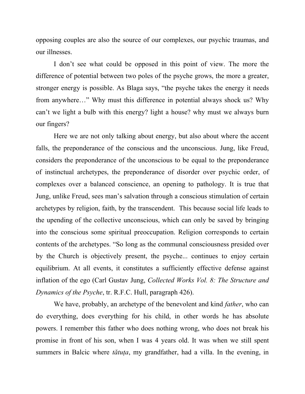opposing couples are also the source of our complexes, our psychic traumas, and our illnesses.

 I don't see what could be opposed in this point of view. The more the difference of potential between two poles of the psyche grows, the more a greater, stronger energy is possible. As Blaga says, "the psyche takes the energy it needs from anywhere…" Why must this difference in potential always shock us? Why can't we light a bulb with this energy? light a house? why must we always burn our fingers?

 Here we are not only talking about energy, but also about where the accent falls, the preponderance of the conscious and the unconscious. Jung, like Freud, considers the preponderance of the unconscious to be equal to the preponderance of instinctual archetypes, the preponderance of disorder over psychic order, of complexes over a balanced conscience, an opening to pathology. It is true that Jung, unlike Freud, sees man's salvation through a conscious stimulation of certain archetypes by religion, faith, by the transcendent. This because social life leads to the upending of the collective unconscious, which can only be saved by bringing into the conscious some spiritual preoccupation. Religion corresponds to certain contents of the archetypes. "So long as the communal consciousness presided over by the Church is objectively present, the psyche... continues to enjoy certain equilibrium. At all events, it constitutes a sufficiently effective defense against inflation of the ego (Carl Gustav Jung, *Collected Works Vol. 8: The Structure and Dynamics of the Psyche*, tr. R.F.C. Hull, paragraph 426).

 We have, probably, an archetype of the benevolent and kind *father*, who can do everything, does everything for his child, in other words he has absolute powers. I remember this father who does nothing wrong, who does not break his promise in front of his son, when I was 4 years old. It was when we still spent summers in Balcic where *tătuţa*, my grandfather, had a villa. In the evening, in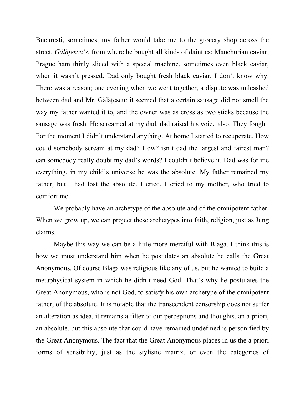Bucuresti, sometimes, my father would take me to the grocery shop across the street, *Gălătescu's*, from where he bought all kinds of dainties; Manchurian caviar, Prague ham thinly sliced with a special machine, sometimes even black caviar, when it wasn't pressed. Dad only bought fresh black caviar. I don't know why. There was a reason; one evening when we went together, a dispute was unleashed between dad and Mr. Gălăţescu: it seemed that a certain sausage did not smell the way my father wanted it to, and the owner was as cross as two sticks because the sausage was fresh. He screamed at my dad, dad raised his voice also. They fought. For the moment I didn't understand anything. At home I started to recuperate. How could somebody scream at my dad? How? isn't dad the largest and fairest man? can somebody really doubt my dad's words? I couldn't believe it. Dad was for me everything, in my child's universe he was the absolute. My father remained my father, but I had lost the absolute. I cried, I cried to my mother, who tried to comfort me.

 We probably have an archetype of the absolute and of the omnipotent father. When we grow up, we can project these archetypes into faith, religion, just as Jung claims.

 Maybe this way we can be a little more merciful with Blaga. I think this is how we must understand him when he postulates an absolute he calls the Great Anonymous. Of course Blaga was religious like any of us, but he wanted to build a metaphysical system in which he didn't need God. That's why he postulates the Great Anonymous, who is not God, to satisfy his own archetype of the omnipotent father, of the absolute. It is notable that the transcendent censorship does not suffer an alteration as idea, it remains a filter of our perceptions and thoughts, an a priori, an absolute, but this absolute that could have remained undefined is personified by the Great Anonymous. The fact that the Great Anonymous places in us the a priori forms of sensibility, just as the stylistic matrix, or even the categories of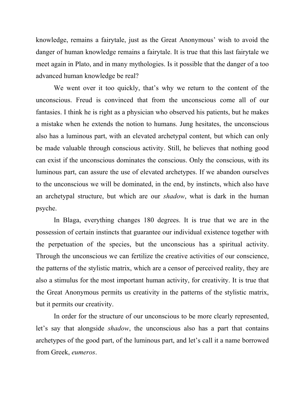knowledge, remains a fairytale, just as the Great Anonymous' wish to avoid the danger of human knowledge remains a fairytale. It is true that this last fairytale we meet again in Plato, and in many mythologies. Is it possible that the danger of a too advanced human knowledge be real?

 We went over it too quickly, that's why we return to the content of the unconscious. Freud is convinced that from the unconscious come all of our fantasies. I think he is right as a physician who observed his patients, but he makes a mistake when he extends the notion to humans. Jung hesitates, the unconscious also has a luminous part, with an elevated archetypal content, but which can only be made valuable through conscious activity. Still, he believes that nothing good can exist if the unconscious dominates the conscious. Only the conscious, with its luminous part, can assure the use of elevated archetypes. If we abandon ourselves to the unconscious we will be dominated, in the end, by instincts, which also have an archetypal structure, but which are our *shadow*, what is dark in the human psyche.

 In Blaga, everything changes 180 degrees. It is true that we are in the possession of certain instincts that guarantee our individual existence together with the perpetuation of the species, but the unconscious has a spiritual activity. Through the unconscious we can fertilize the creative activities of our conscience, the patterns of the stylistic matrix, which are a censor of perceived reality, they are also a stimulus for the most important human activity, for creativity. It is true that the Great Anonymous permits us creativity in the patterns of the stylistic matrix, but it permits our creativity.

 In order for the structure of our unconscious to be more clearly represented, let's say that alongside *shadow*, the unconscious also has a part that contains archetypes of the good part, of the luminous part, and let's call it a name borrowed from Greek, *eumeros*.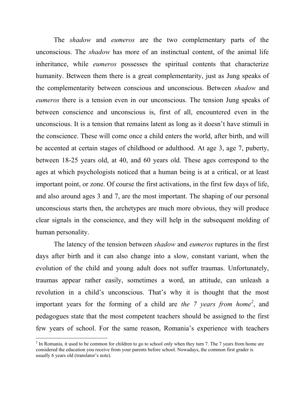The *shadow* and *eumeros* are the two complementary parts of the unconscious. The *shadow* has more of an instinctual content, of the animal life inheritance, while *eumeros* possesses the spiritual contents that characterize humanity. Between them there is a great complementarity, just as Jung speaks of the complementarity between conscious and unconscious. Between *shadow* and *eumeros* there is a tension even in our unconscious. The tension Jung speaks of between conscience and unconscious is, first of all, encountered even in the unconscious. It is a tension that remains latent as long as it doesn't have stimuli in the conscience. These will come once a child enters the world, after birth, and will be accented at certain stages of childhood or adulthood. At age 3, age 7, puberty, between 18-25 years old, at 40, and 60 years old. These ages correspond to the ages at which psychologists noticed that a human being is at a critical, or at least important point, or zone. Of course the first activations, in the first few days of life, and also around ages 3 and 7, are the most important. The shaping of our personal unconscious starts then, the archetypes are much more obvious, they will produce clear signals in the conscience, and they will help in the subsequent molding of human personality.

 The latency of the tension between *shadow* and *eumeros* ruptures in the first days after birth and it can also change into a slow, constant variant, when the evolution of the child and young adult does not suffer traumas. Unfortunately, traumas appear rather easily, sometimes a word, an attitude, can unleash a revolution in a child's unconscious. That's why it is thought that the most important years for the forming of a child are *the 7 years from home[2](#page-14-0)* , and pedagogues state that the most competent teachers should be assigned to the first few years of school. For the same reason, Romania's experience with teachers

 $\overline{a}$ 

<span id="page-14-0"></span> $2^{2}$  In Romania, it used to be common for children to go to school only when they turn 7. The 7 years from home are considered the education you receive from your parents before school. Nowadays, the common first grader is usually 6 years old (translator's note).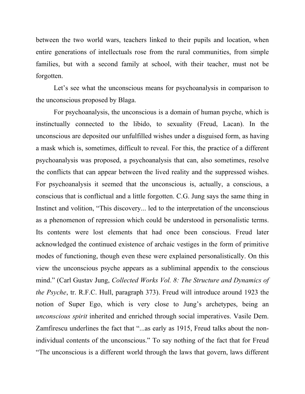between the two world wars, teachers linked to their pupils and location, when entire generations of intellectuals rose from the rural communities, from simple families, but with a second family at school, with their teacher, must not be forgotten.

 Let's see what the unconscious means for psychoanalysis in comparison to the unconscious proposed by Blaga.

 For psychoanalysis, the unconscious is a domain of human psyche, which is instinctually connected to the libido, to sexuality (Freud, Lacan). In the unconscious are deposited our unfulfilled wishes under a disguised form, as having a mask which is, sometimes, difficult to reveal. For this, the practice of a different psychoanalysis was proposed, a psychoanalysis that can, also sometimes, resolve the conflicts that can appear between the lived reality and the suppressed wishes. For psychoanalysis it seemed that the unconscious is, actually, a conscious, a conscious that is conflictual and a little forgotten. C.G. Jung says the same thing in Instinct and volition, "This discovery... led to the interpretation of the unconscious as a phenomenon of repression which could be understood in personalistic terms. Its contents were lost elements that had once been conscious. Freud later acknowledged the continued existence of archaic vestiges in the form of primitive modes of functioning, though even these were explained personalistically. On this view the unconscious psyche appears as a subliminal appendix to the conscious mind." (Carl Gustav Jung, *Collected Works Vol. 8: The Structure and Dynamics of the Psyche*, tr. R.F.C. Hull, paragraph 373). Freud will introduce around 1923 the notion of Super Ego, which is very close to Jung's archetypes, being an *unconscious spirit* inherited and enriched through social imperatives. Vasile Dem. Zamfirescu underlines the fact that "...as early as 1915, Freud talks about the nonindividual contents of the unconscious." To say nothing of the fact that for Freud "The unconscious is a different world through the laws that govern, laws different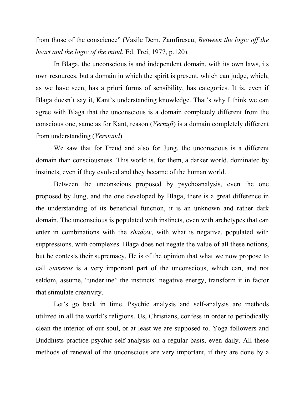from those of the conscience" (Vasile Dem. Zamfirescu, *Between the logic off the heart and the logic of the mind*, Ed. Trei, 1977, p.120).

 In Blaga, the unconscious is and independent domain, with its own laws, its own resources, but a domain in which the spirit is present, which can judge, which, as we have seen, has a priori forms of sensibility, has categories. It is, even if Blaga doesn't say it, Kant's understanding knowledge. That's why I think we can agree with Blaga that the unconscious is a domain completely different from the conscious one, same as for Kant, reason (*Vernuft*) is a domain completely different from understanding (*Verstand*).

 We saw that for Freud and also for Jung, the unconscious is a different domain than consciousness. This world is, for them, a darker world, dominated by instincts, even if they evolved and they became of the human world.

 Between the unconscious proposed by psychoanalysis, even the one proposed by Jung, and the one developed by Blaga, there is a great difference in the understanding of its beneficial function, it is an unknown and rather dark domain. The unconscious is populated with instincts, even with archetypes that can enter in combinations with the *shadow*, with what is negative, populated with suppressions, with complexes. Blaga does not negate the value of all these notions, but he contests their supremacy. He is of the opinion that what we now propose to call *eumeros* is a very important part of the unconscious, which can, and not seldom, assume, "underline" the instincts' negative energy, transform it in factor that stimulate creativity.

 Let's go back in time. Psychic analysis and self-analysis are methods utilized in all the world's religions. Us, Christians, confess in order to periodically clean the interior of our soul, or at least we are supposed to. Yoga followers and Buddhists practice psychic self-analysis on a regular basis, even daily. All these methods of renewal of the unconscious are very important, if they are done by a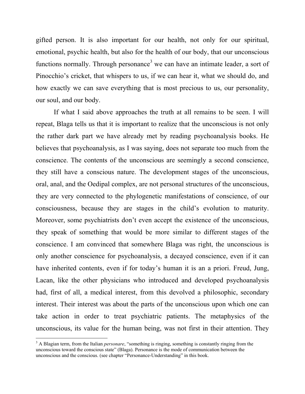gifted person. It is also important for our health, not only for our spiritual, emotional, psychic health, but also for the health of our body, that our unconscious functions normally. Through personance<sup>[3](#page-17-0)</sup> we can have an intimate leader, a sort of Pinocchio's cricket, that whispers to us, if we can hear it, what we should do, and how exactly we can save everything that is most precious to us, our personality, our soul, and our body.

 If what I said above approaches the truth at all remains to be seen. I will repeat, Blaga tells us that it is important to realize that the unconscious is not only the rather dark part we have already met by reading psychoanalysis books. He believes that psychoanalysis, as I was saying, does not separate too much from the conscience. The contents of the unconscious are seemingly a second conscience, they still have a conscious nature. The development stages of the unconscious, oral, anal, and the Oedipal complex, are not personal structures of the unconscious, they are very connected to the phylogenetic manifestations of conscience, of our consciousness, because they are stages in the child's evolution to maturity. Moreover, some psychiatrists don't even accept the existence of the unconscious, they speak of something that would be more similar to different stages of the conscience. I am convinced that somewhere Blaga was right, the unconscious is only another conscience for psychoanalysis, a decayed conscience, even if it can have inherited contents, even if for today's human it is an a priori. Freud, Jung, Lacan, like the other physicians who introduced and developed psychoanalysis had, first of all, a medical interest, from this devolved a philosophic, secondary interest. Their interest was about the parts of the unconscious upon which one can take action in order to treat psychiatric patients. The metaphysics of the unconscious, its value for the human being, was not first in their attention. They

 $\overline{a}$ 

<span id="page-17-0"></span><sup>&</sup>lt;sup>3</sup> A Blagian term, from the Italian *personare*, "something is ringing, something is constantly ringing from the unconscious toward the conscious state" (Blaga). Personance is the mode of communication between the unconscious and the conscious. (see chapter "Personance-Understanding" in this book.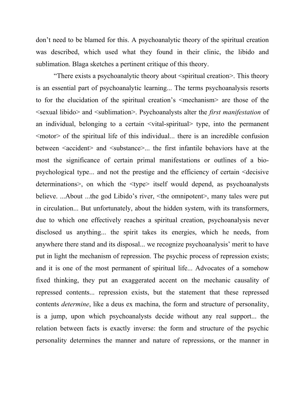don't need to be blamed for this. A psychoanalytic theory of the spiritual creation was described, which used what they found in their clinic, the libido and sublimation. Blaga sketches a pertinent critique of this theory.

 "There exists a psychoanalytic theory about <spiritual creation>. This theory is an essential part of psychoanalytic learning... The terms psychoanalysis resorts to for the elucidation of the spiritual creation's <mechanism> are those of the <sexual libido> and <sublimation>. Psychoanalysts alter the *first manifestation* of an individual, belonging to a certain <vital-spiritual> type, into the permanent <motor> of the spiritual life of this individual... there is an incredible confusion between <accident> and <substance>... the first infantile behaviors have at the most the significance of certain primal manifestations or outlines of a biopsychological type... and not the prestige and the efficiency of certain <decisive determinations>, on which the <type> itself would depend, as psychoanalysts believe. ...About ...the god Libido's river, <the omnipotent>, many tales were put in circulation... But unfortunately, about the hidden system, with its transformers, due to which one effectively reaches a spiritual creation, psychoanalysis never disclosed us anything... the spirit takes its energies, which he needs, from anywhere there stand and its disposal... we recognize psychoanalysis' merit to have put in light the mechanism of repression. The psychic process of repression exists; and it is one of the most permanent of spiritual life... Advocates of a somehow fixed thinking, they put an exaggerated accent on the mechanic causality of repressed contents... repression exists, but the statement that these repressed contents *determine*, like a deus ex machina, the form and structure of personality, is a jump, upon which psychoanalysts decide without any real support... the relation between facts is exactly inverse: the form and structure of the psychic personality determines the manner and nature of repressions, or the manner in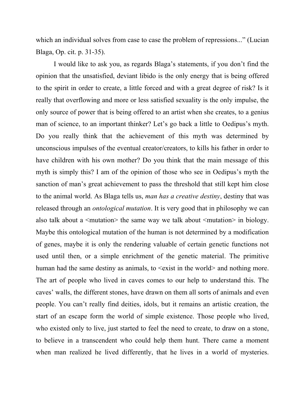which an individual solves from case to case the problem of repressions..." (Lucian Blaga, Op. cit. p. 31-35).

 I would like to ask you, as regards Blaga's statements, if you don't find the opinion that the unsatisfied, deviant libido is the only energy that is being offered to the spirit in order to create, a little forced and with a great degree of risk? Is it really that overflowing and more or less satisfied sexuality is the only impulse, the only source of power that is being offered to an artist when she creates, to a genius man of science, to an important thinker? Let's go back a little to Oedipus's myth. Do you really think that the achievement of this myth was determined by unconscious impulses of the eventual creator/creators, to kills his father in order to have children with his own mother? Do you think that the main message of this myth is simply this? I am of the opinion of those who see in Oedipus's myth the sanction of man's great achievement to pass the threshold that still kept him close to the animal world. As Blaga tells us, *man has a creative destiny*, destiny that was released through an *ontological mutation*. It is very good that in philosophy we can also talk about a  $\leq$  mutation $\geq$  the same way we talk about  $\leq$  mutation $\geq$  in biology. Maybe this ontological mutation of the human is not determined by a modification of genes, maybe it is only the rendering valuable of certain genetic functions not used until then, or a simple enrichment of the genetic material. The primitive human had the same destiny as animals, to  $\leq$  exist in the world and nothing more. The art of people who lived in caves comes to our help to understand this. The caves' walls, the different stones, have drawn on them all sorts of animals and even people. You can't really find deities, idols, but it remains an artistic creation, the start of an escape form the world of simple existence. Those people who lived, who existed only to live, just started to feel the need to create, to draw on a stone, to believe in a transcendent who could help them hunt. There came a moment when man realized he lived differently, that he lives in a world of mysteries.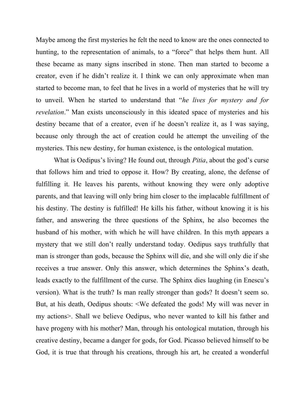Maybe among the first mysteries he felt the need to know are the ones connected to hunting, to the representation of animals, to a "force" that helps them hunt. All these became as many signs inscribed in stone. Then man started to become a creator, even if he didn't realize it. I think we can only approximate when man started to become man, to feel that he lives in a world of mysteries that he will try to unveil. When he started to understand that "*he lives for mystery and for revelation*." Man exists unconsciously in this ideated space of mysteries and his destiny became that of a creator, even if he doesn't realize it, as I was saying, because only through the act of creation could he attempt the unveiling of the mysteries. This new destiny, for human existence, is the ontological mutation.

 What is Oedipus's living? He found out, through *Pitia*, about the god's curse that follows him and tried to oppose it. How? By creating, alone, the defense of fulfilling it. He leaves his parents, without knowing they were only adoptive parents, and that leaving will only bring him closer to the implacable fulfillment of his destiny. The destiny is fulfilled! He kills his father, without knowing it is his father, and answering the three questions of the Sphinx, he also becomes the husband of his mother, with which he will have children. In this myth appears a mystery that we still don't really understand today. Oedipus says truthfully that man is stronger than gods, because the Sphinx will die, and she will only die if she receives a true answer. Only this answer, which determines the Sphinx's death, leads exactly to the fulfillment of the curse. The Sphinx dies laughing (in Enescu's version). What is the truth? Is man really stronger than gods? It doesn't seem so. But, at his death, Oedipus shouts: <We defeated the gods! My will was never in my actions>. Shall we believe Oedipus, who never wanted to kill his father and have progeny with his mother? Man, through his ontological mutation, through his creative destiny, became a danger for gods, for God. Picasso believed himself to be God, it is true that through his creations, through his art, he created a wonderful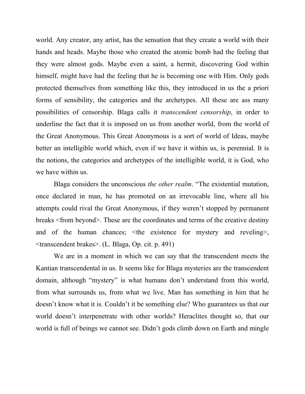world. Any creator, any artist, has the sensation that they create a world with their hands and heads. Maybe those who created the atomic bomb had the feeling that they were almost gods. Maybe even a saint, a hermit, discovering God within himself, might have had the feeling that he is becoming one with Him. Only gods protected themselves from something like this, they introduced in us the a priori forms of sensibility, the categories and the archetypes. All these are ass many possibilities of censorship. Blaga calls it *transcendent censorship*, in order to underline the fact that it is imposed on us from another world, from the world of the Great Anonymous. This Great Anonymous is a sort of world of Ideas, maybe better an intelligible world which, even if we have it within us, is perennial. It is the notions, the categories and archetypes of the intelligible world, it is God, who we have within us.

 Blaga considers the unconscious *the other realm*. "The existential mutation, once declared in man, he has promoted on an irrevocable line, where all his attempts could rival the Great Anonymous, if they weren't stopped by permanent breaks <from beyond>. These are the coordinates and terms of the creative destiny and of the human chances;  $\leq$ the existence for mystery and reveling>, <transcendent brakes>. (L. Blaga, Op. cit. p. 491)

 We are in a moment in which we can say that the transcendent meets the Kantian transcendental in us. It seems like for Blaga mysteries are the transcendent domain, although "mystery" is what humans don't understand from this world, from what surrounds us, from what we live. Man has something in him that he doesn't know what it is. Couldn't it be something else? Who guarantees us that our world doesn't interpenetrate with other worlds? Heraclites thought so, that our world is full of beings we cannot see. Didn't gods climb down on Earth and mingle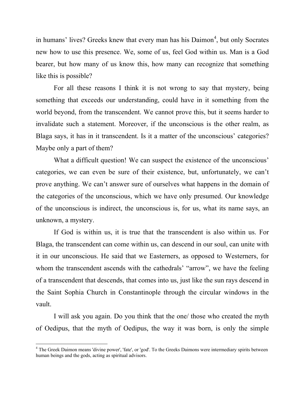in humans' lives? Greeks knew that every man has his Daimon<sup>[4](#page-22-0)</sup>, but only Socrates new how to use this presence. We, some of us, feel God within us. Man is a God bearer, but how many of us know this, how many can recognize that something like this is possible?

 For all these reasons I think it is not wrong to say that mystery, being something that exceeds our understanding, could have in it something from the world beyond, from the transcendent. We cannot prove this, but it seems harder to invalidate such a statement. Moreover, if the unconscious is the other realm, as Blaga says, it has in it transcendent. Is it a matter of the unconscious' categories? Maybe only a part of them?

What a difficult question! We can suspect the existence of the unconscious' categories, we can even be sure of their existence, but, unfortunately, we can't prove anything. We can't answer sure of ourselves what happens in the domain of the categories of the unconscious, which we have only presumed. Our knowledge of the unconscious is indirect, the unconscious is, for us, what its name says, an unknown, a mystery.

 If God is within us, it is true that the transcendent is also within us. For Blaga, the transcendent can come within us, can descend in our soul, can unite with it in our unconscious. He said that we Easterners, as opposed to Westerners, for whom the transcendent ascends with the cathedrals' "arrow", we have the feeling of a transcendent that descends, that comes into us, just like the sun rays descend in the Saint Sophia Church in Constantinople through the circular windows in the vault.

 I will ask you again. Do you think that the one/ those who created the myth of Oedipus, that the myth of Oedipus, the way it was born, is only the simple

 $\overline{a}$ 

<span id="page-22-0"></span><sup>&</sup>lt;sup>4</sup> The [Greek](http://www.occultopedia.com/g/greece.htm) Daimon means 'divine power', 'fate', or 'god'. To the Greeks Daimons were intermediary spirits between human beings and the gods, acting as spiritual advisors.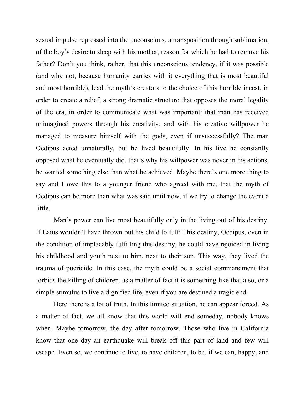sexual impulse repressed into the unconscious, a transposition through sublimation, of the boy's desire to sleep with his mother, reason for which he had to remove his father? Don't you think, rather, that this unconscious tendency, if it was possible (and why not, because humanity carries with it everything that is most beautiful and most horrible), lead the myth's creators to the choice of this horrible incest, in order to create a relief, a strong dramatic structure that opposes the moral legality of the era, in order to communicate what was important: that man has received unimagined powers through his creativity, and with his creative willpower he managed to measure himself with the gods, even if unsuccessfully? The man Oedipus acted unnaturally, but he lived beautifully. In his live he constantly opposed what he eventually did, that's why his willpower was never in his actions, he wanted something else than what he achieved. Maybe there's one more thing to say and I owe this to a younger friend who agreed with me, that the myth of Oedipus can be more than what was said until now, if we try to change the event a little.

 Man's power can live most beautifully only in the living out of his destiny. If Laius wouldn't have thrown out his child to fulfill his destiny, Oedipus, even in the condition of implacably fulfilling this destiny, he could have rejoiced in living his childhood and youth next to him, next to their son. This way, they lived the trauma of puericide. In this case, the myth could be a social commandment that forbids the killing of children, as a matter of fact it is something like that also, or a simple stimulus to live a dignified life, even if you are destined a tragic end.

 Here there is a lot of truth. In this limited situation, he can appear forced. As a matter of fact, we all know that this world will end someday, nobody knows when. Maybe tomorrow, the day after tomorrow. Those who live in California know that one day an earthquake will break off this part of land and few will escape. Even so, we continue to live, to have children, to be, if we can, happy, and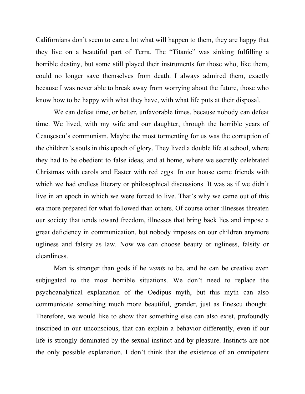Californians don't seem to care a lot what will happen to them, they are happy that they live on a beautiful part of Terra. The "Titanic" was sinking fulfilling a horrible destiny, but some still played their instruments for those who, like them, could no longer save themselves from death. I always admired them, exactly because I was never able to break away from worrying about the future, those who know how to be happy with what they have, with what life puts at their disposal.

 We can defeat time, or better, unfavorable times, because nobody can defeat time. We lived, with my wife and our daughter, through the horrible years of Ceauşescu's communism. Maybe the most tormenting for us was the corruption of the children's souls in this epoch of glory. They lived a double life at school, where they had to be obedient to false ideas, and at home, where we secretly celebrated Christmas with carols and Easter with red eggs. In our house came friends with which we had endless literary or philosophical discussions. It was as if we didn't live in an epoch in which we were forced to live. That's why we came out of this era more prepared for what followed than others. Of course other illnesses threaten our society that tends toward freedom, illnesses that bring back lies and impose a great deficiency in communication, but nobody imposes on our children anymore ugliness and falsity as law. Now we can choose beauty or ugliness, falsity or cleanliness.

 Man is stronger than gods if he *wants* to be, and he can be creative even subjugated to the most horrible situations. We don't need to replace the psychoanalytical explanation of the Oedipus myth, but this myth can also communicate something much more beautiful, grander, just as Enescu thought. Therefore, we would like to show that something else can also exist, profoundly inscribed in our unconscious, that can explain a behavior differently, even if our life is strongly dominated by the sexual instinct and by pleasure. Instincts are not the only possible explanation. I don't think that the existence of an omnipotent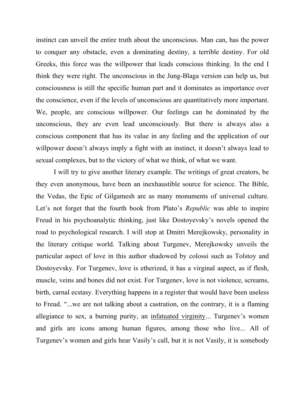instinct can unveil the entire truth about the unconscious. Man can, has the power to conquer any obstacle, even a dominating destiny, a terrible destiny. For old Greeks, this force was the willpower that leads conscious thinking. In the end I think they were right. The unconscious in the Jung-Blaga version can help us, but consciousness is still the specific human part and it dominates as importance over the conscience, even if the levels of unconscious are quantitatively more important. We, people, are conscious willpower. Our feelings can be dominated by the unconscious, they are even lead unconsciously. But there is always also a conscious component that has its value in any feeling and the application of our willpower doesn't always imply a fight with an instinct, it doesn't always lead to sexual complexes, but to the victory of what we think, of what we want.

 I will try to give another literary example. The writings of great creators, be they even anonymous, have been an inexhaustible source for science. The Bible, the Vedas, the Epic of Gilgamesh are as many monuments of universal culture. Let's not forget that the fourth book from Plato's *Republic* was able to inspire Freud in his psychoanalytic thinking, just like Dostoyevsky's novels opened the road to psychological research. I will stop at Dmitri Merejkowsky, personality in the literary critique world. Talking about Turgenev, Merejkowsky unveils the particular aspect of love in this author shadowed by colossi such as Tolstoy and Dostoyevsky. For Turgenev, love is etherized, it has a virginal aspect, as if flesh, muscle, veins and bones did not exist. For Turgenev, love is not violence, screams, birth, carnal ecstasy. Everything happens in a register that would have been useless to Freud. "...we are not talking about a castration, on the contrary, it is a flaming allegiance to sex, a burning purity, an infatuated virginity... Turgenev's women and girls are icons among human figures, among those who live... All of Turgenev's women and girls hear Vasily's call, but it is not Vasily, it is somebody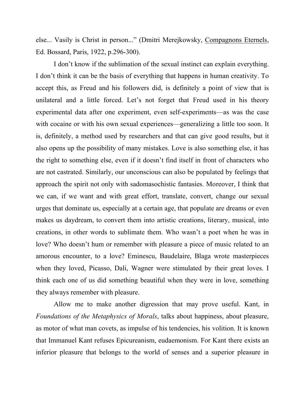else... Vasily is Christ in person..." (Dmitri Merejkowsky, Compagnons Eternels, Ed. Bossard, Paris, 1922, p.296-300).

 I don't know if the sublimation of the sexual instinct can explain everything. I don't think it can be the basis of everything that happens in human creativity. To accept this, as Freud and his followers did, is definitely a point of view that is unilateral and a little forced. Let's not forget that Freud used in his theory experimental data after one experiment, even self-experiments—as was the case with cocaine or with his own sexual experiences—generalizing a little too soon. It is, definitely, a method used by researchers and that can give good results, but it also opens up the possibility of many mistakes. Love is also something else, it has the right to something else, even if it doesn't find itself in front of characters who are not castrated. Similarly, our unconscious can also be populated by feelings that approach the spirit not only with sadomasochistic fantasies. Moreover, I think that we can, if we want and with great effort, translate, convert, change our sexual urges that dominate us, especially at a certain age, that populate are dreams or even makes us daydream, to convert them into artistic creations, literary, musical, into creations, in other words to sublimate them. Who wasn't a poet when he was in love? Who doesn't hum or remember with pleasure a piece of music related to an amorous encounter, to a love? Eminescu, Baudelaire, Blaga wrote masterpieces when they loved, Picasso, Dali, Wagner were stimulated by their great loves. I think each one of us did something beautiful when they were in love, something they always remember with pleasure.

 Allow me to make another digression that may prove useful. Kant, in *Foundations of the Metaphysics of Morals*, talks about happiness, about pleasure, as motor of what man covets, as impulse of his tendencies, his volition. It is known that Immanuel Kant refuses Epicureanism, eudaemonism. For Kant there exists an inferior pleasure that belongs to the world of senses and a superior pleasure in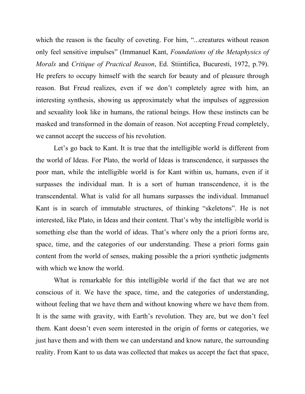which the reason is the faculty of coveting. For him, "...creatures without reason only feel sensitive impulses" (Immanuel Kant, *Foundations of the Metaphysics of Morals* and *Critique of Practical Reason*, Ed. Stiintifica, Bucuresti, 1972, p.79). He prefers to occupy himself with the search for beauty and of pleasure through reason. But Freud realizes, even if we don't completely agree with him, an interesting synthesis, showing us approximately what the impulses of aggression and sexuality look like in humans, the rational beings. How these instincts can be masked and transformed in the domain of reason. Not accepting Freud completely, we cannot accept the success of his revolution.

 Let's go back to Kant. It is true that the intelligible world is different from the world of Ideas. For Plato, the world of Ideas is transcendence, it surpasses the poor man, while the intelligible world is for Kant within us, humans, even if it surpasses the individual man. It is a sort of human transcendence, it is the transcendental. What is valid for all humans surpasses the individual. Immanuel Kant is in search of immutable structures, of thinking "skeletons". He is not interested, like Plato, in Ideas and their content. That's why the intelligible world is something else than the world of ideas. That's where only the a priori forms are, space, time, and the categories of our understanding. These a priori forms gain content from the world of senses, making possible the a priori synthetic judgments with which we know the world.

 What is remarkable for this intelligible world if the fact that we are not conscious of it. We have the space, time, and the categories of understanding, without feeling that we have them and without knowing where we have them from. It is the same with gravity, with Earth's revolution. They are, but we don't feel them. Kant doesn't even seem interested in the origin of forms or categories, we just have them and with them we can understand and know nature, the surrounding reality. From Kant to us data was collected that makes us accept the fact that space,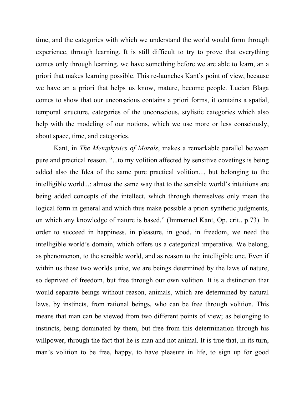time, and the categories with which we understand the world would form through experience, through learning. It is still difficult to try to prove that everything comes only through learning, we have something before we are able to learn, an a priori that makes learning possible. This re-launches Kant's point of view, because we have an a priori that helps us know, mature, become people. Lucian Blaga comes to show that our unconscious contains a priori forms, it contains a spatial, temporal structure, categories of the unconscious, stylistic categories which also help with the modeling of our notions, which we use more or less consciously, about space, time, and categories.

 Kant, in *The Metaphysics of Morals*, makes a remarkable parallel between pure and practical reason. "...to my volition affected by sensitive covetings is being added also the Idea of the same pure practical volition..., but belonging to the intelligible world...: almost the same way that to the sensible world's intuitions are being added concepts of the intellect, which through themselves only mean the logical form in general and which thus make possible a priori synthetic judgments, on which any knowledge of nature is based." (Immanuel Kant, Op. crit., p.73). In order to succeed in happiness, in pleasure, in good, in freedom, we need the intelligible world's domain, which offers us a categorical imperative. We belong, as phenomenon, to the sensible world, and as reason to the intelligible one. Even if within us these two worlds unite, we are beings determined by the laws of nature, so deprived of freedom, but free through our own volition. It is a distinction that would separate beings without reason, animals, which are determined by natural laws, by instincts, from rational beings, who can be free through volition. This means that man can be viewed from two different points of view; as belonging to instincts, being dominated by them, but free from this determination through his willpower, through the fact that he is man and not animal. It is true that, in its turn, man's volition to be free, happy, to have pleasure in life, to sign up for good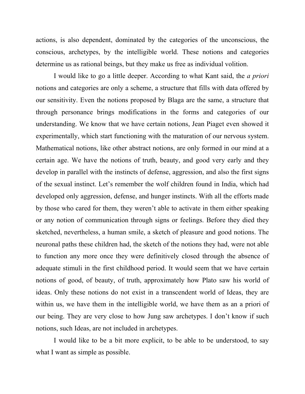actions, is also dependent, dominated by the categories of the unconscious, the conscious, archetypes, by the intelligible world. These notions and categories determine us as rational beings, but they make us free as individual volition.

 I would like to go a little deeper. According to what Kant said, the *a priori* notions and categories are only a scheme, a structure that fills with data offered by our sensitivity. Even the notions proposed by Blaga are the same, a structure that through personance brings modifications in the forms and categories of our understanding. We know that we have certain notions, Jean Piaget even showed it experimentally, which start functioning with the maturation of our nervous system. Mathematical notions, like other abstract notions, are only formed in our mind at a certain age. We have the notions of truth, beauty, and good very early and they develop in parallel with the instincts of defense, aggression, and also the first signs of the sexual instinct. Let's remember the wolf children found in India, which had developed only aggression, defense, and hunger instincts. With all the efforts made by those who cared for them, they weren't able to activate in them either speaking or any notion of communication through signs or feelings. Before they died they sketched, nevertheless, a human smile, a sketch of pleasure and good notions. The neuronal paths these children had, the sketch of the notions they had, were not able to function any more once they were definitively closed through the absence of adequate stimuli in the first childhood period. It would seem that we have certain notions of good, of beauty, of truth, approximately how Plato saw his world of ideas. Only these notions do not exist in a transcendent world of Ideas, they are within us, we have them in the intelligible world, we have them as an a priori of our being. They are very close to how Jung saw archetypes. I don't know if such notions, such Ideas, are not included in archetypes.

 I would like to be a bit more explicit, to be able to be understood, to say what I want as simple as possible.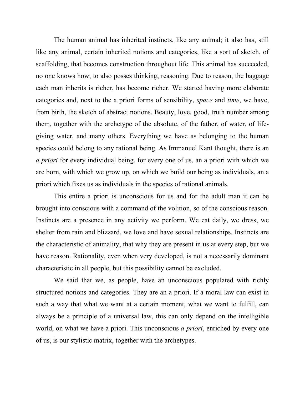The human animal has inherited instincts, like any animal; it also has, still like any animal, certain inherited notions and categories, like a sort of sketch, of scaffolding, that becomes construction throughout life. This animal has succeeded, no one knows how, to also posses thinking, reasoning. Due to reason, the baggage each man inherits is richer, has become richer. We started having more elaborate categories and, next to the a priori forms of sensibility, *space* and *time*, we have, from birth, the sketch of abstract notions. Beauty, love, good, truth number among them, together with the archetype of the absolute, of the father, of water, of lifegiving water, and many others. Everything we have as belonging to the human species could belong to any rational being. As Immanuel Kant thought, there is an *a priori* for every individual being, for every one of us, an a priori with which we are born, with which we grow up, on which we build our being as individuals, an a priori which fixes us as individuals in the species of rational animals.

 This entire a priori is unconscious for us and for the adult man it can be brought into conscious with a command of the volition, so of the conscious reason. Instincts are a presence in any activity we perform. We eat daily, we dress, we shelter from rain and blizzard, we love and have sexual relationships. Instincts are the characteristic of animality, that why they are present in us at every step, but we have reason. Rationality, even when very developed, is not a necessarily dominant characteristic in all people, but this possibility cannot be excluded.

 We said that we, as people, have an unconscious populated with richly structured notions and categories. They are an a priori. If a moral law can exist in such a way that what we want at a certain moment, what we want to fulfill, can always be a principle of a universal law, this can only depend on the intelligible world, on what we have a priori. This unconscious *a priori*, enriched by every one of us, is our stylistic matrix, together with the archetypes.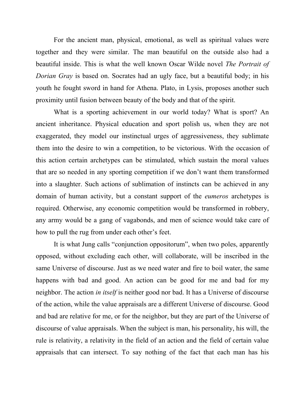For the ancient man, physical, emotional, as well as spiritual values were together and they were similar. The man beautiful on the outside also had a beautiful inside. This is what the well known Oscar Wilde novel *The Portrait of Dorian Gray* is based on. Socrates had an ugly face, but a beautiful body; in his youth he fought sword in hand for Athena. Plato, in Lysis, proposes another such proximity until fusion between beauty of the body and that of the spirit.

 What is a sporting achievement in our world today? What is sport? An ancient inheritance. Physical education and sport polish us, when they are not exaggerated, they model our instinctual urges of aggressiveness, they sublimate them into the desire to win a competition, to be victorious. With the occasion of this action certain archetypes can be stimulated, which sustain the moral values that are so needed in any sporting competition if we don't want them transformed into a slaughter. Such actions of sublimation of instincts can be achieved in any domain of human activity, but a constant support of the *eumeros* archetypes is required. Otherwise, any economic competition would be transformed in robbery, any army would be a gang of vagabonds, and men of science would take care of how to pull the rug from under each other's feet.

 It is what Jung calls "conjunction oppositorum", when two poles, apparently opposed, without excluding each other, will collaborate, will be inscribed in the same Universe of discourse. Just as we need water and fire to boil water, the same happens with bad and good. An action can be good for me and bad for my neighbor. The action *in itself* is neither good nor bad. It has a Universe of discourse of the action, while the value appraisals are a different Universe of discourse. Good and bad are relative for me, or for the neighbor, but they are part of the Universe of discourse of value appraisals. When the subject is man, his personality, his will, the rule is relativity, a relativity in the field of an action and the field of certain value appraisals that can intersect. To say nothing of the fact that each man has his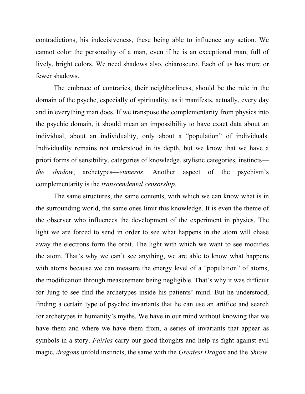contradictions, his indecisiveness, these being able to influence any action. We cannot color the personality of a man, even if he is an exceptional man, full of lively, bright colors. We need shadows also, chiaroscuro. Each of us has more or fewer shadows.

 The embrace of contraries, their neighborliness, should be the rule in the domain of the psyche, especially of spirituality, as it manifests, actually, every day and in everything man does. If we transpose the complementarity from physics into the psychic domain, it should mean an impossibility to have exact data about an individual, about an individuality, only about a "population" of individuals. Individuality remains not understood in its depth, but we know that we have a priori forms of sensibility, categories of knowledge, stylistic categories, instincts *the shadow*, archetypes—*eumeros*. Another aspect of the psychism's complementarity is the *transcendental censorship*.

The same structures, the same contents, with which we can know what is in the surrounding world, the same ones limit this knowledge. It is even the theme of the observer who influences the development of the experiment in physics. The light we are forced to send in order to see what happens in the atom will chase away the electrons form the orbit. The light with which we want to see modifies the atom. That's why we can't see anything, we are able to know what happens with atoms because we can measure the energy level of a "population" of atoms, the modification through measurement being negligible. That's why it was difficult for Jung to see find the archetypes inside his patients' mind. But he understood, finding a certain type of psychic invariants that he can use an artifice and search for archetypes in humanity's myths. We have in our mind without knowing that we have them and where we have them from, a series of invariants that appear as symbols in a story. *Fairies* carry our good thoughts and help us fight against evil magic, *dragons* unfold instincts, the same with the *Greatest Dragon* and the *Shrew*.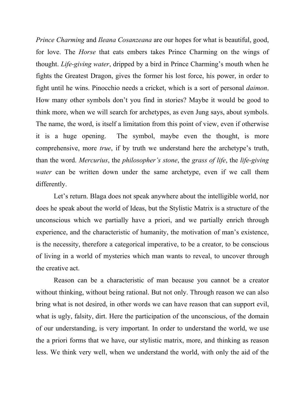*Prince Charming* and *Ileana Cosanzeana* are our hopes for what is beautiful, good, for love. The *Horse* that eats embers takes Prince Charming on the wings of thought. *Life-giving water*, dripped by a bird in Prince Charming's mouth when he fights the Greatest Dragon, gives the former his lost force, his power, in order to fight until he wins. Pinocchio needs a cricket, which is a sort of personal *daimon*. How many other symbols don't you find in stories? Maybe it would be good to think more, when we will search for archetypes, as even Jung says, about symbols. The name, the word, is itself a limitation from this point of view, even if otherwise it is a huge opening. The symbol, maybe even the thought, is more comprehensive, more *true*, if by truth we understand here the archetype's truth, than the word. *Mercurius*, the *philosopher's stone*, the *grass of life*, the *life-giving water* can be written down under the same archetype, even if we call them differently.

Let's return. Blaga does not speak anywhere about the intelligible world, nor does he speak about the world of Ideas, but the Stylistic Matrix is a structure of the unconscious which we partially have a priori, and we partially enrich through experience, and the characteristic of humanity, the motivation of man's existence, is the necessity, therefore a categorical imperative, to be a creator, to be conscious of living in a world of mysteries which man wants to reveal, to uncover through the creative act.

Reason can be a characteristic of man because you cannot be a creator without thinking, without being rational. But not only. Through reason we can also bring what is not desired, in other words we can have reason that can support evil, what is ugly, falsity, dirt. Here the participation of the unconscious, of the domain of our understanding, is very important. In order to understand the world, we use the a priori forms that we have, our stylistic matrix, more, and thinking as reason less. We think very well, when we understand the world, with only the aid of the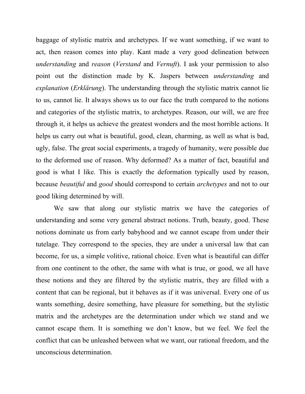baggage of stylistic matrix and archetypes. If we want something, if we want to act, then reason comes into play. Kant made a very good delineation between *understanding* and *reason* (*Verstand* and *Vernuft*). I ask your permission to also point out the distinction made by K. Jaspers between *understanding* and *explanation* (*Erklärung*). The understanding through the stylistic matrix cannot lie to us, cannot lie. It always shows us to our face the truth compared to the notions and categories of the stylistic matrix, to archetypes. Reason, our will, we are free through it, it helps us achieve the greatest wonders and the most horrible actions. It helps us carry out what is beautiful, good, clean, charming, as well as what is bad, ugly, false. The great social experiments, a tragedy of humanity, were possible due to the deformed use of reason. Why deformed? As a matter of fact, beautiful and good is what I like. This is exactly the deformation typically used by reason, because *beautiful* and *good* should correspond to certain *archetypes* and not to our good liking determined by will.

We saw that along our stylistic matrix we have the categories of understanding and some very general abstract notions. Truth, beauty, good. These notions dominate us from early babyhood and we cannot escape from under their tutelage. They correspond to the species, they are under a universal law that can become, for us, a simple volitive, rational choice. Even what is beautiful can differ from one continent to the other, the same with what is true, or good, we all have these notions and they are filtered by the stylistic matrix, they are filled with a content that can be regional, but it behaves as if it was universal. Every one of us wants something, desire something, have pleasure for something, but the stylistic matrix and the archetypes are the determination under which we stand and we cannot escape them. It is something we don't know, but we feel. We feel the conflict that can be unleashed between what we want, our rational freedom, and the unconscious determination.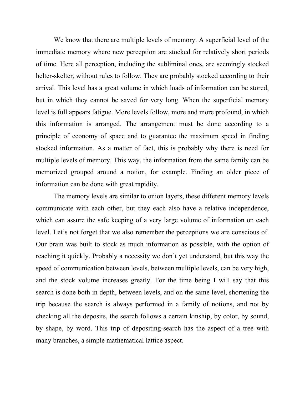We know that there are multiple levels of memory. A superficial level of the immediate memory where new perception are stocked for relatively short periods of time. Here all perception, including the subliminal ones, are seemingly stocked helter-skelter, without rules to follow. They are probably stocked according to their arrival. This level has a great volume in which loads of information can be stored, but in which they cannot be saved for very long. When the superficial memory level is full appears fatigue. More levels follow, more and more profound, in which this information is arranged. The arrangement must be done according to a principle of economy of space and to guarantee the maximum speed in finding stocked information. As a matter of fact, this is probably why there is need for multiple levels of memory. This way, the information from the same family can be memorized grouped around a notion, for example. Finding an older piece of information can be done with great rapidity.

The memory levels are similar to onion layers, these different memory levels communicate with each other, but they each also have a relative independence, which can assure the safe keeping of a very large volume of information on each level. Let's not forget that we also remember the perceptions we are conscious of. Our brain was built to stock as much information as possible, with the option of reaching it quickly. Probably a necessity we don't yet understand, but this way the speed of communication between levels, between multiple levels, can be very high, and the stock volume increases greatly. For the time being I will say that this search is done both in depth, between levels, and on the same level, shortening the trip because the search is always performed in a family of notions, and not by checking all the deposits, the search follows a certain kinship, by color, by sound, by shape, by word. This trip of depositing-search has the aspect of a tree with many branches, a simple mathematical lattice aspect.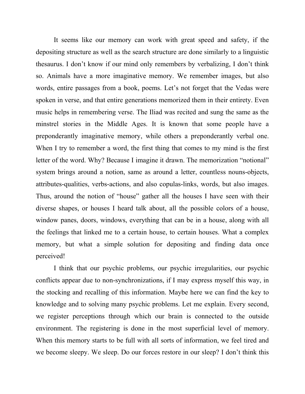It seems like our memory can work with great speed and safety, if the depositing structure as well as the search structure are done similarly to a linguistic thesaurus. I don't know if our mind only remembers by verbalizing, I don't think so. Animals have a more imaginative memory. We remember images, but also words, entire passages from a book, poems. Let's not forget that the Vedas were spoken in verse, and that entire generations memorized them in their entirety. Even music helps in remembering verse. The Iliad was recited and sung the same as the minstrel stories in the Middle Ages. It is known that some people have a preponderantly imaginative memory, while others a preponderantly verbal one. When I try to remember a word, the first thing that comes to my mind is the first letter of the word. Why? Because I imagine it drawn. The memorization "notional" system brings around a notion, same as around a letter, countless nouns-objects, attributes-qualities, verbs-actions, and also copulas-links, words, but also images. Thus, around the notion of "house" gather all the houses I have seen with their diverse shapes, or houses I heard talk about, all the possible colors of a house, window panes, doors, windows, everything that can be in a house, along with all the feelings that linked me to a certain house, to certain houses. What a complex memory, but what a simple solution for depositing and finding data once perceived!

I think that our psychic problems, our psychic irregularities, our psychic conflicts appear due to non-synchronizations, if I may express myself this way, in the stocking and recalling of this information. Maybe here we can find the key to knowledge and to solving many psychic problems. Let me explain. Every second, we register perceptions through which our brain is connected to the outside environment. The registering is done in the most superficial level of memory. When this memory starts to be full with all sorts of information, we feel tired and we become sleepy. We sleep. Do our forces restore in our sleep? I don't think this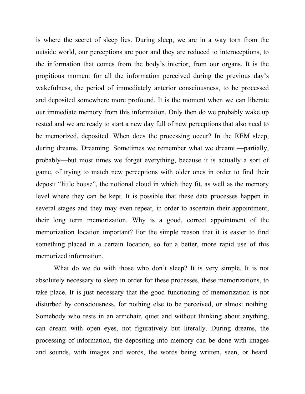is where the secret of sleep lies. During sleep, we are in a way torn from the outside world, our perceptions are poor and they are reduced to interoceptions, to the information that comes from the body's interior, from our organs. It is the propitious moment for all the information perceived during the previous day's wakefulness, the period of immediately anterior consciousness, to be processed and deposited somewhere more profound. It is the moment when we can liberate our immediate memory from this information. Only then do we probably wake up rested and we are ready to start a new day full of new perceptions that also need to be memorized, deposited. When does the processing occur? In the REM sleep, during dreams. Dreaming. Sometimes we remember what we dreamt.—partially, probably—but most times we forget everything, because it is actually a sort of game, of trying to match new perceptions with older ones in order to find their deposit "little house", the notional cloud in which they fit, as well as the memory level where they can be kept. It is possible that these data processes happen in several stages and they may even repeat, in order to ascertain their appointment, their long term memorization. Why is a good, correct appointment of the memorization location important? For the simple reason that it is easier to find something placed in a certain location, so for a better, more rapid use of this memorized information.

What do we do with those who don't sleep? It is very simple. It is not absolutely necessary to sleep in order for these processes, these memorizations, to take place. It is just necessary that the good functioning of memorization is not disturbed by consciousness, for nothing else to be perceived, or almost nothing. Somebody who rests in an armchair, quiet and without thinking about anything, can dream with open eyes, not figuratively but literally. During dreams, the processing of information, the depositing into memory can be done with images and sounds, with images and words, the words being written, seen, or heard.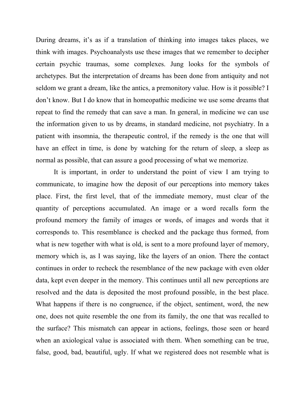During dreams, it's as if a translation of thinking into images takes places, we think with images. Psychoanalysts use these images that we remember to decipher certain psychic traumas, some complexes. Jung looks for the symbols of archetypes. But the interpretation of dreams has been done from antiquity and not seldom we grant a dream, like the antics, a premonitory value. How is it possible? I don't know. But I do know that in homeopathic medicine we use some dreams that repeat to find the remedy that can save a man. In general, in medicine we can use the information given to us by dreams, in standard medicine, not psychiatry. In a patient with insomnia, the therapeutic control, if the remedy is the one that will have an effect in time, is done by watching for the return of sleep, a sleep as normal as possible, that can assure a good processing of what we memorize.

It is important, in order to understand the point of view I am trying to communicate, to imagine how the deposit of our perceptions into memory takes place. First, the first level, that of the immediate memory, must clear of the quantity of perceptions accumulated. An image or a word recalls form the profound memory the family of images or words, of images and words that it corresponds to. This resemblance is checked and the package thus formed, from what is new together with what is old, is sent to a more profound layer of memory, memory which is, as I was saying, like the layers of an onion. There the contact continues in order to recheck the resemblance of the new package with even older data, kept even deeper in the memory. This continues until all new perceptions are resolved and the data is deposited the most profound possible, in the best place. What happens if there is no congruence, if the object, sentiment, word, the new one, does not quite resemble the one from its family, the one that was recalled to the surface? This mismatch can appear in actions, feelings, those seen or heard when an axiological value is associated with them. When something can be true, false, good, bad, beautiful, ugly. If what we registered does not resemble what is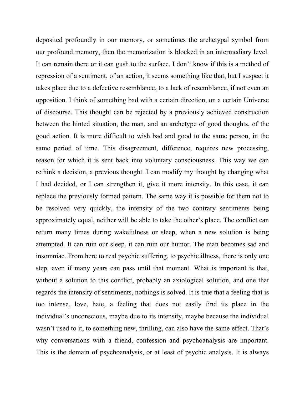deposited profoundly in our memory, or sometimes the archetypal symbol from our profound memory, then the memorization is blocked in an intermediary level. It can remain there or it can gush to the surface. I don't know if this is a method of repression of a sentiment, of an action, it seems something like that, but I suspect it takes place due to a defective resemblance, to a lack of resemblance, if not even an opposition. I think of something bad with a certain direction, on a certain Universe of discourse. This thought can be rejected by a previously achieved construction between the hinted situation, the man, and an archetype of good thoughts, of the good action. It is more difficult to wish bad and good to the same person, in the same period of time. This disagreement, difference, requires new processing, reason for which it is sent back into voluntary consciousness. This way we can rethink a decision, a previous thought. I can modify my thought by changing what I had decided, or I can strengthen it, give it more intensity. In this case, it can replace the previously formed pattern. The same way it is possible for them not to be resolved very quickly, the intensity of the two contrary sentiments being approximately equal, neither will be able to take the other's place. The conflict can return many times during wakefulness or sleep, when a new solution is being attempted. It can ruin our sleep, it can ruin our humor. The man becomes sad and insomniac. From here to real psychic suffering, to psychic illness, there is only one step, even if many years can pass until that moment. What is important is that, without a solution to this conflict, probably an axiological solution, and one that regards the intensity of sentiments, nothings is solved. It is true that a feeling that is too intense, love, hate, a feeling that does not easily find its place in the individual's unconscious, maybe due to its intensity, maybe because the individual wasn't used to it, to something new, thrilling, can also have the same effect. That's why conversations with a friend, confession and psychoanalysis are important. This is the domain of psychoanalysis, or at least of psychic analysis. It is always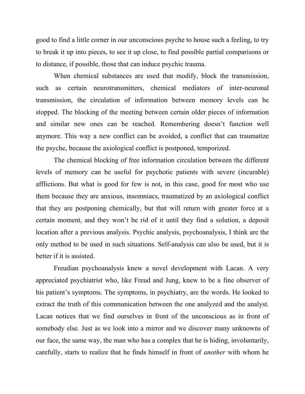good to find a little corner in our unconscious psyche to house such a feeling, to try to break it up into pieces, to see it up close, to find possible partial comparisons or to distance, if possible, those that can induce psychic trauma.

When chemical substances are used that modify, block the transmission, such as certain neurotransmitters, chemical mediators of inter-neuronal transmission, the circulation of information between memory levels can be stopped. The blocking of the meeting between certain older pieces of information and similar new ones can be reached. Remembering doesn't function well anymore. This way a new conflict can be avoided, a conflict that can traumatize the psyche, because the axiological conflict is postponed, temporized.

The chemical blocking of free information circulation between the different levels of memory can be useful for psychotic patients with severe (incurable) afflictions. But what is good for few is not, in this case, good for most who use them because they are anxious, insomniacs, traumatized by an axiological conflict that they are postponing chemically, but that will return with greater force at a certain moment, and they won't be rid of it until they find a solution, a deposit location after a previous analysis. Psychic analysis, psychoanalysis, I think are the only method to be used in such situations. Self-analysis can also be used, but it is better if it is assisted.

Freudian psychoanalysis knew a novel development with Lacan. A very appreciated psychiatrist who, like Freud and Jung, knew to be a fine observer of his patient's symptoms. The symptoms, in psychiatry, are the words. He looked to extract the truth of this communication between the one analyzed and the analyst. Lacan notices that we find ourselves in front of the unconscious as in front of somebody else. Just as we look into a mirror and we discover many unknowns of our face, the same way, the man who has a complex that he is hiding, involuntarily, carefully, starts to realize that he finds himself in front of *another* with whom he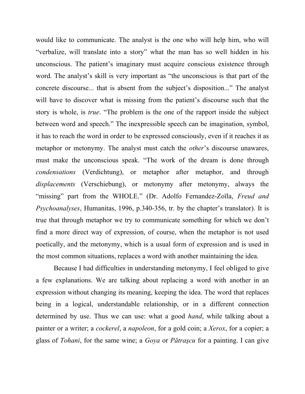would like to communicate. The analyst is the one who will help him, who will "verbalize, will translate into a story" what the man has so well hidden in his unconscious. The patient's imaginary must acquire conscious existence through word. The analyst's skill is very important as "the unconscious is that part of the concrete discourse... that is absent from the subject's disposition..." The analyst will have to discover what is missing from the patient's discourse such that the story is whole, is *true*. "The problem is the one of the rapport inside the subject between word and speech." The inexpressible speech can be imagination, symbol, it has to reach the word in order to be expressed consciously, even if it reaches it as metaphor or metonymy. The analyst must catch the *other*'s discourse unawares, must make the unconscious speak. "The work of the dream is done through *condensations* (Verdichtung), or metaphor after metaphor, and through *displacements* (Verschiebung), or metonymy after metonymy, always the "missing" part from the WHOLE." (Dr. Adolfo Fernandez-Zoïla, *Freud and Psychoanalyses*, Humanitas, 1996, p.340-356, tr. by the chapter's translator). It is true that through metaphor we try to communicate something for which we don't find a more direct way of expression, of course, when the metaphor is not used poetically, and the metonymy, which is a usual form of expression and is used in the most common situations, replaces a word with another maintaining the idea.

Because I had difficulties in understanding metonymy, I feel obliged to give a few explanations. We are talking about replacing a word with another in an expression without changing its meaning, keeping the idea. The word that replaces being in a logical, understandable relationship, or in a different connection determined by use. Thus we can use: what a good *hand*, while talking about a painter or a writer; a *cockerel*, a *napoleon*, for a gold coin; a *Xerox*, for a copier; a glass of *Tohani*, for the same wine; a *Goya* or *Pătraşcu* for a painting. I can give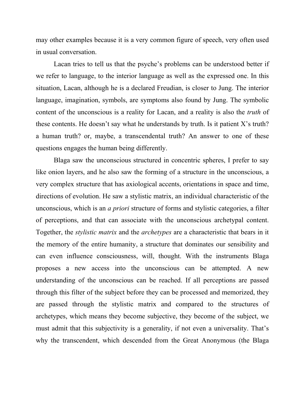may other examples because it is a very common figure of speech, very often used in usual conversation.

Lacan tries to tell us that the psyche's problems can be understood better if we refer to language, to the interior language as well as the expressed one. In this situation, Lacan, although he is a declared Freudian, is closer to Jung. The interior language, imagination, symbols, are symptoms also found by Jung. The symbolic content of the unconscious is a reality for Lacan, and a reality is also the *truth* of these contents. He doesn't say what he understands by truth. Is it patient X's truth? a human truth? or, maybe, a transcendental truth? An answer to one of these questions engages the human being differently.

Blaga saw the unconscious structured in concentric spheres, I prefer to say like onion layers, and he also saw the forming of a structure in the unconscious, a very complex structure that has axiological accents, orientations in space and time, directions of evolution. He saw a stylistic matrix, an individual characteristic of the unconscious, which is an *a priori* structure of forms and stylistic categories, a filter of perceptions, and that can associate with the unconscious archetypal content. Together, the *stylistic matrix* and the *archetypes* are a characteristic that bears in it the memory of the entire humanity, a structure that dominates our sensibility and can even influence consciousness, will, thought. With the instruments Blaga proposes a new access into the unconscious can be attempted. A new understanding of the unconscious can be reached. If all perceptions are passed through this filter of the subject before they can be processed and memorized, they are passed through the stylistic matrix and compared to the structures of archetypes, which means they become subjective, they become of the subject, we must admit that this subjectivity is a generality, if not even a universality. That's why the transcendent, which descended from the Great Anonymous (the Blaga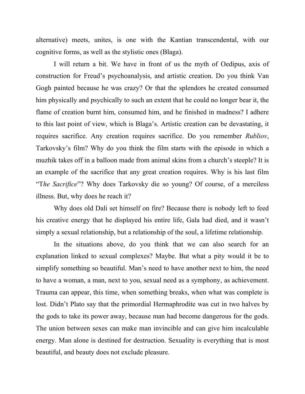alternative) meets, unites, is one with the Kantian transcendental, with our cognitive forms, as well as the stylistic ones (Blaga).

I will return a bit. We have in front of us the myth of Oedipus, axis of construction for Freud's psychoanalysis, and artistic creation. Do you think Van Gogh painted because he was crazy? Or that the splendors he created consumed him physically and psychically to such an extent that he could no longer bear it, the flame of creation burnt him, consumed him, and he finished in madness? I adhere to this last point of view, which is Blaga's. Artistic creation can be devastating, it requires sacrifice. Any creation requires sacrifice. Do you remember *Rubliov*, Tarkovsky's film? Why do you think the film starts with the episode in which a muzhik takes off in a balloon made from animal skins from a church's steeple? It is an example of the sacrifice that any great creation requires. Why is his last film "T*he Sacrifice*"? Why does Tarkovsky die so young? Of course, of a merciless illness. But, why does he reach it?

Why does old Dali set himself on fire? Because there is nobody left to feed his creative energy that he displayed his entire life, Gala had died, and it wasn't simply a sexual relationship, but a relationship of the soul, a lifetime relationship.

In the situations above, do you think that we can also search for an explanation linked to sexual complexes? Maybe. But what a pity would it be to simplify something so beautiful. Man's need to have another next to him, the need to have a woman, a man, next to you, sexual need as a symphony, as achievement. Trauma can appear, this time, when something breaks, when what was complete is lost. Didn't Plato say that the primordial Hermaphrodite was cut in two halves by the gods to take its power away, because man had become dangerous for the gods. The union between sexes can make man invincible and can give him incalculable energy. Man alone is destined for destruction. Sexuality is everything that is most beautiful, and beauty does not exclude pleasure.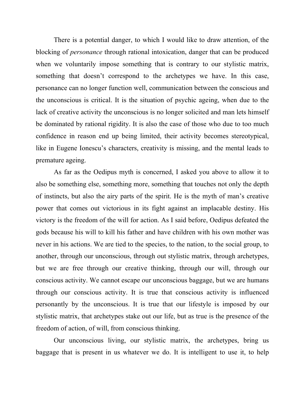There is a potential danger, to which I would like to draw attention, of the blocking of *personance* through rational intoxication, danger that can be produced when we voluntarily impose something that is contrary to our stylistic matrix, something that doesn't correspond to the archetypes we have. In this case, personance can no longer function well, communication between the conscious and the unconscious is critical. It is the situation of psychic ageing, when due to the lack of creative activity the unconscious is no longer solicited and man lets himself be dominated by rational rigidity. It is also the case of those who due to too much confidence in reason end up being limited, their activity becomes stereotypical, like in Eugene Ionescu's characters, creativity is missing, and the mental leads to premature ageing.

As far as the Oedipus myth is concerned, I asked you above to allow it to also be something else, something more, something that touches not only the depth of instincts, but also the airy parts of the spirit. He is the myth of man's creative power that comes out victorious in its fight against an implacable destiny. His victory is the freedom of the will for action. As I said before, Oedipus defeated the gods because his will to kill his father and have children with his own mother was never in his actions. We are tied to the species, to the nation, to the social group, to another, through our unconscious, through out stylistic matrix, through archetypes, but we are free through our creative thinking, through our will, through our conscious activity. We cannot escape our unconscious baggage, but we are humans through our conscious activity. It is true that conscious activity is influenced personantly by the unconscious. It is true that our lifestyle is imposed by our stylistic matrix, that archetypes stake out our life, but as true is the presence of the freedom of action, of will, from conscious thinking.

Our unconscious living, our stylistic matrix, the archetypes, bring us baggage that is present in us whatever we do. It is intelligent to use it, to help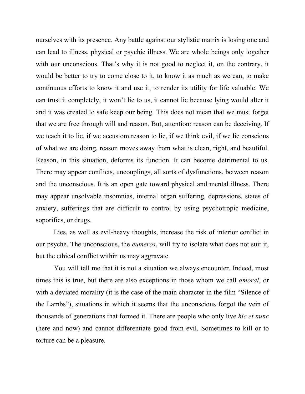ourselves with its presence. Any battle against our stylistic matrix is losing one and can lead to illness, physical or psychic illness. We are whole beings only together with our unconscious. That's why it is not good to neglect it, on the contrary, it would be better to try to come close to it, to know it as much as we can, to make continuous efforts to know it and use it, to render its utility for life valuable. We can trust it completely, it won't lie to us, it cannot lie because lying would alter it and it was created to safe keep our being. This does not mean that we must forget that we are free through will and reason. But, attention: reason can be deceiving. If we teach it to lie, if we accustom reason to lie, if we think evil, if we lie conscious of what we are doing, reason moves away from what is clean, right, and beautiful. Reason, in this situation, deforms its function. It can become detrimental to us. There may appear conflicts, uncouplings, all sorts of dysfunctions, between reason and the unconscious. It is an open gate toward physical and mental illness. There may appear unsolvable insomnias, internal organ suffering, depressions, states of anxiety, sufferings that are difficult to control by using psychotropic medicine, soporifics, or drugs.

Lies, as well as evil-heavy thoughts, increase the risk of interior conflict in our psyche. The unconscious, the *eumeros*, will try to isolate what does not suit it, but the ethical conflict within us may aggravate.

You will tell me that it is not a situation we always encounter. Indeed, most times this is true, but there are also exceptions in those whom we call *amoral*, or with a deviated morality (it is the case of the main character in the film "Silence of the Lambs"), situations in which it seems that the unconscious forgot the vein of thousands of generations that formed it. There are people who only live *hic et nunc*  (here and now) and cannot differentiate good from evil. Sometimes to kill or to torture can be a pleasure.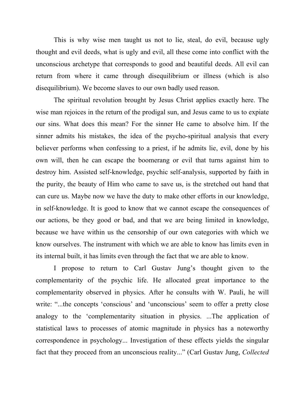This is why wise men taught us not to lie, steal, do evil, because ugly thought and evil deeds, what is ugly and evil, all these come into conflict with the unconscious archetype that corresponds to good and beautiful deeds. All evil can return from where it came through disequilibrium or illness (which is also disequilibrium). We become slaves to our own badly used reason.

The spiritual revolution brought by Jesus Christ applies exactly here. The wise man rejoices in the return of the prodigal sun, and Jesus came to us to expiate our sins. What does this mean? For the sinner He came to absolve him. If the sinner admits his mistakes, the idea of the psycho-spiritual analysis that every believer performs when confessing to a priest, if he admits lie, evil, done by his own will, then he can escape the boomerang or evil that turns against him to destroy him. Assisted self-knowledge, psychic self-analysis, supported by faith in the purity, the beauty of Him who came to save us, is the stretched out hand that can cure us. Maybe now we have the duty to make other efforts in our knowledge, in self-knowledge. It is good to know that we cannot escape the consequences of our actions, be they good or bad, and that we are being limited in knowledge, because we have within us the censorship of our own categories with which we know ourselves. The instrument with which we are able to know has limits even in its internal built, it has limits even through the fact that we are able to know.

I propose to return to Carl Gustav Jung's thought given to the complementarity of the psychic life. He allocated great importance to the complementarity observed in physics. After he consults with W. Pauli, he will write: "...the concepts 'conscious' and 'unconscious' seem to offer a pretty close analogy to the 'complementarity situation in physics. ...The application of statistical laws to processes of atomic magnitude in physics has a noteworthy correspondence in psychology... Investigation of these effects yields the singular fact that they proceed from an unconscious reality..." (Carl Gustav Jung, *Collected*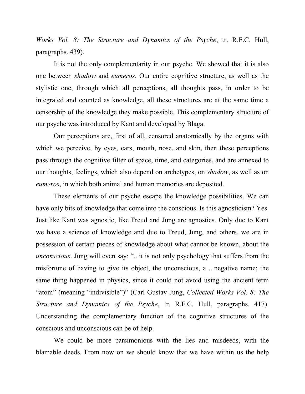*Works Vol. 8: The Structure and Dynamics of the Psyche*, tr. R.F.C. Hull, paragraphs. 439).

It is not the only complementarity in our psyche. We showed that it is also one between *shadow* and *eumeros*. Our entire cognitive structure, as well as the stylistic one, through which all perceptions, all thoughts pass, in order to be integrated and counted as knowledge, all these structures are at the same time a censorship of the knowledge they make possible. This complementary structure of our psyche was introduced by Kant and developed by Blaga.

Our perceptions are, first of all, censored anatomically by the organs with which we perceive, by eyes, ears, mouth, nose, and skin, then these perceptions pass through the cognitive filter of space, time, and categories, and are annexed to our thoughts, feelings, which also depend on archetypes, on *shadow*, as well as on *eumeros*, in which both animal and human memories are deposited.

These elements of our psyche escape the knowledge possibilities. We can have only bits of knowledge that come into the conscious. Is this agnosticism? Yes. Just like Kant was agnostic, like Freud and Jung are agnostics. Only due to Kant we have a science of knowledge and due to Freud, Jung, and others, we are in possession of certain pieces of knowledge about what cannot be known, about the *unconscious*. Jung will even say: "...it is not only psychology that suffers from the misfortune of having to give its object, the unconscious, a ...negative name; the same thing happened in physics, since it could not avoid using the ancient term "atom" (meaning "indivisible")" (Carl Gustav Jung, *Collected Works Vol. 8: The Structure and Dynamics of the Psyche*, tr. R.F.C. Hull, paragraphs. 417). Understanding the complementary function of the cognitive structures of the conscious and unconscious can be of help.

We could be more parsimonious with the lies and misdeeds, with the blamable deeds. From now on we should know that we have within us the help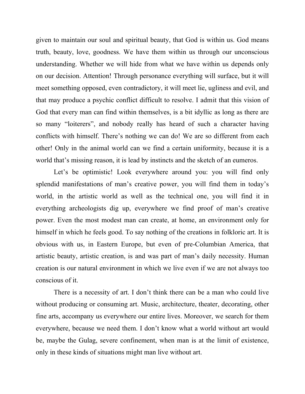given to maintain our soul and spiritual beauty, that God is within us. God means truth, beauty, love, goodness. We have them within us through our unconscious understanding. Whether we will hide from what we have within us depends only on our decision. Attention! Through personance everything will surface, but it will meet something opposed, even contradictory, it will meet lie, ugliness and evil, and that may produce a psychic conflict difficult to resolve. I admit that this vision of God that every man can find within themselves, is a bit idyllic as long as there are so many "loiterers", and nobody really has heard of such a character having conflicts with himself. There's nothing we can do! We are so different from each other! Only in the animal world can we find a certain uniformity, because it is a world that's missing reason, it is lead by instincts and the sketch of an eumeros.

Let's be optimistic! Look everywhere around you: you will find only splendid manifestations of man's creative power, you will find them in today's world, in the artistic world as well as the technical one, you will find it in everything archeologists dig up, everywhere we find proof of man's creative power. Even the most modest man can create, at home, an environment only for himself in which he feels good. To say nothing of the creations in folkloric art. It is obvious with us, in Eastern Europe, but even of pre-Columbian America, that artistic beauty, artistic creation, is and was part of man's daily necessity. Human creation is our natural environment in which we live even if we are not always too conscious of it.

There is a necessity of art. I don't think there can be a man who could live without producing or consuming art. Music, architecture, theater, decorating, other fine arts, accompany us everywhere our entire lives. Moreover, we search for them everywhere, because we need them. I don't know what a world without art would be, maybe the Gulag, severe confinement, when man is at the limit of existence, only in these kinds of situations might man live without art.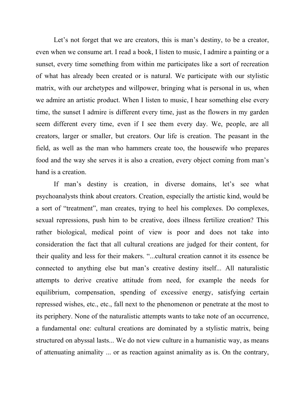Let's not forget that we are creators, this is man's destiny, to be a creator, even when we consume art. I read a book, I listen to music, I admire a painting or a sunset, every time something from within me participates like a sort of recreation of what has already been created or is natural. We participate with our stylistic matrix, with our archetypes and willpower, bringing what is personal in us, when we admire an artistic product. When I listen to music, I hear something else every time, the sunset I admire is different every time, just as the flowers in my garden seem different every time, even if I see them every day. We, people, are all creators, larger or smaller, but creators. Our life is creation. The peasant in the field, as well as the man who hammers create too, the housewife who prepares food and the way she serves it is also a creation, every object coming from man's hand is a creation.

If man's destiny is creation, in diverse domains, let's see what psychoanalysts think about creators. Creation, especially the artistic kind, would be a sort of "treatment", man creates, trying to heel his complexes. Do complexes, sexual repressions, push him to be creative, does illness fertilize creation? This rather biological, medical point of view is poor and does not take into consideration the fact that all cultural creations are judged for their content, for their quality and less for their makers. "...cultural creation cannot it its essence be connected to anything else but man's creative destiny itself... All naturalistic attempts to derive creative attitude from need, for example the needs for equilibrium, compensation, spending of excessive energy, satisfying certain repressed wishes, etc., etc., fall next to the phenomenon or penetrate at the most to its periphery. None of the naturalistic attempts wants to take note of an occurrence, a fundamental one: cultural creations are dominated by a stylistic matrix, being structured on abyssal lasts... We do not view culture in a humanistic way, as means of attenuating animality ... or as reaction against animality as is. On the contrary,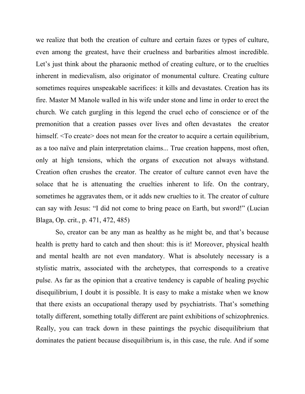we realize that both the creation of culture and certain fazes or types of culture, even among the greatest, have their cruelness and barbarities almost incredible. Let's just think about the pharaonic method of creating culture, or to the cruelties inherent in medievalism, also originator of monumental culture. Creating culture sometimes requires unspeakable sacrifices: it kills and devastates. Creation has its fire. Master M Manole walled in his wife under stone and lime in order to erect the church. We catch gurgling in this legend the cruel echo of conscience or of the premonition that a creation passes over lives and often devastates the creator himself.  $\leq$ To create> does not mean for the creator to acquire a certain equilibrium, as a too naïve and plain interpretation claims... True creation happens, most often, only at high tensions, which the organs of execution not always withstand. Creation often crushes the creator. The creator of culture cannot even have the solace that he is attenuating the cruelties inherent to life. On the contrary, sometimes he aggravates them, or it adds new cruelties to it. The creator of culture can say with Jesus: "I did not come to bring peace on Earth, but sword!" (Lucian Blaga, Op. crit., p. 471, 472, 485)

 So, creator can be any man as healthy as he might be, and that's because health is pretty hard to catch and then shout: this is it! Moreover, physical health and mental health are not even mandatory. What is absolutely necessary is a stylistic matrix, associated with the archetypes, that corresponds to a creative pulse. As far as the opinion that a creative tendency is capable of healing psychic disequilibrium, I doubt it is possible. It is easy to make a mistake when we know that there exists an occupational therapy used by psychiatrists. That's something totally different, something totally different are paint exhibitions of schizophrenics. Really, you can track down in these paintings the psychic disequilibrium that dominates the patient because disequilibrium is, in this case, the rule. And if some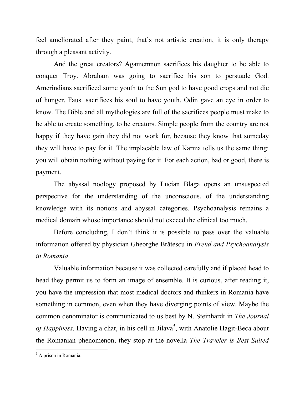feel ameliorated after they paint, that's not artistic creation, it is only therapy through a pleasant activity.

And the great creators? Agamemnon sacrifices his daughter to be able to conquer Troy. Abraham was going to sacrifice his son to persuade God. Amerindians sacrificed some youth to the Sun god to have good crops and not die of hunger. Faust sacrifices his soul to have youth. Odin gave an eye in order to know. The Bible and all mythologies are full of the sacrifices people must make to be able to create something, to be creators. Simple people from the country are not happy if they have gain they did not work for, because they know that someday they will have to pay for it. The implacable law of Karma tells us the same thing: you will obtain nothing without paying for it. For each action, bad or good, there is payment.

The abyssal noology proposed by Lucian Blaga opens an unsuspected perspective for the understanding of the unconscious, of the understanding knowledge with its notions and abyssal categories. Psychoanalysis remains a medical domain whose importance should not exceed the clinical too much.

Before concluding, I don't think it is possible to pass over the valuable information offered by physician Gheorghe Brătescu in *Freud and Psychoanalysis in Romania*.

Valuable information because it was collected carefully and if placed head to head they permit us to form an image of ensemble. It is curious, after reading it, you have the impression that most medical doctors and thinkers in Romania have something in common, even when they have diverging points of view. Maybe the common denominator is communicated to us best by N. Steinhardt in *The Journal*  of Happiness. Having a chat, in his cell in Jilava<sup>[5](#page-51-0)</sup>, with Anatolie Hagit-Beca about the Romanian phenomenon, they stop at the novella *The Traveler is Best Suited* 

<span id="page-51-0"></span> $<sup>5</sup>$  A prison in Romania.</sup>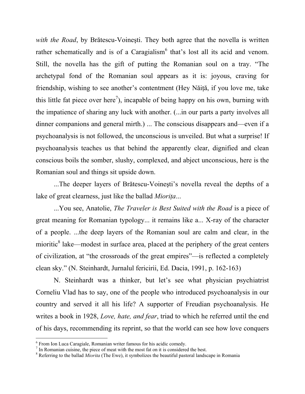*with the Road*, by Brătescu-Voineşti. They both agree that the novella is written rather schematically and is of a Caragialism<sup>[6](#page-52-0)</sup> that's lost all its acid and venom. Still, the novella has the gift of putting the Romanian soul on a tray. "The archetypal fond of the Romanian soul appears as it is: joyous, craving for friendship, wishing to see another's contentment (Hey Năiţă, if you love me, take this little fat piece over here<sup>[7](#page-52-1)</sup>), incapable of being happy on his own, burning with the impatience of sharing any luck with another. (...in our parts a party involves all dinner companions and general mirth.) ... The conscious disappears and—even if a psychoanalysis is not followed, the unconscious is unveiled. But what a surprise! If psychoanalysis teaches us that behind the apparently clear, dignified and clean conscious boils the somber, slushy, complexed, and abject unconscious, here is the Romanian soul and things sit upside down.

...The deeper layers of Brătescu-Voineşti's novella reveal the depths of a lake of great clearness, just like the ballad *Mioriţa*...

...You see, Anatolie, *The Traveler is Best Suited with the Road* is a piece of great meaning for Romanian typology... it remains like a... X-ray of the character of a people. ...the deep layers of the Romanian soul are calm and clear, in the mioritic<sup>[8](#page-52-2)</sup> lake—modest in surface area, placed at the periphery of the great centers of civilization, at "the crossroads of the great empires"—is reflected a completely clean sky." (N. Steinhardt, Jurnalul fericirii, Ed. Dacia, 1991, p. 162-163)

N. Steinhardt was a thinker, but let's see what physician psychiatrist Corneliu Vlad has to say, one of the people who introduced psychoanalysis in our country and served it all his life? A supporter of Freudian psychoanalysis. He writes a book in 1928, *Love, hate, and fear*, triad to which he referred until the end of his days, recommending its reprint, so that the world can see how love conquers

 $\overline{a}$ 

<span id="page-52-0"></span> $^6$  From Ion Luca Caragiale, Romanian writer famous for his acidic comedy.<br><sup>7</sup> In Romanian quigine, the piece of meet with the meet fot on it is considered

<span id="page-52-1"></span> $<sup>7</sup>$  In Romanian cuisine, the piece of meat with the most fat on it is considered the best.</sup>

<span id="page-52-2"></span><sup>&</sup>lt;sup>8</sup> Referring to the ballad *Miorita* (The Ewe), it symbolizes the beautiful pastoral landscape in Romania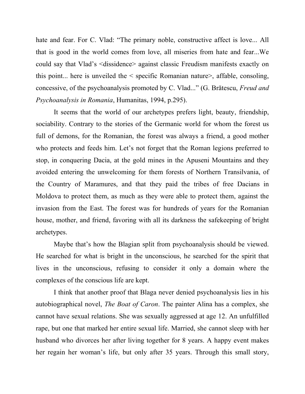hate and fear. For C. Vlad: "The primary noble, constructive affect is love... All that is good in the world comes from love, all miseries from hate and fear...We could say that Vlad's <dissidence> against classic Freudism manifests exactly on this point... here is unveiled the < specific Romanian nature>, affable, consoling, concessive, of the psychoanalysis promoted by C. Vlad..." (G. Brătescu, *Freud and Psychoanalysis in Romania*, Humanitas, 1994, p.295).

It seems that the world of our archetypes prefers light, beauty, friendship, sociability. Contrary to the stories of the Germanic world for whom the forest us full of demons, for the Romanian, the forest was always a friend, a good mother who protects and feeds him. Let's not forget that the Roman legions preferred to stop, in conquering Dacia, at the gold mines in the Apuseni Mountains and they avoided entering the unwelcoming for them forests of Northern Transilvania, of the Country of Maramures, and that they paid the tribes of free Dacians in Moldova to protect them, as much as they were able to protect them, against the invasion from the East. The forest was for hundreds of years for the Romanian house, mother, and friend, favoring with all its darkness the safekeeping of bright archetypes.

Maybe that's how the Blagian split from psychoanalysis should be viewed. He searched for what is bright in the unconscious, he searched for the spirit that lives in the unconscious, refusing to consider it only a domain where the complexes of the conscious life are kept.

I think that another proof that Blaga never denied psychoanalysis lies in his autobiographical novel, *The Boat of Caron*. The painter Alina has a complex, she cannot have sexual relations. She was sexually aggressed at age 12. An unfulfilled rape, but one that marked her entire sexual life. Married, she cannot sleep with her husband who divorces her after living together for 8 years. A happy event makes her regain her woman's life, but only after 35 years. Through this small story,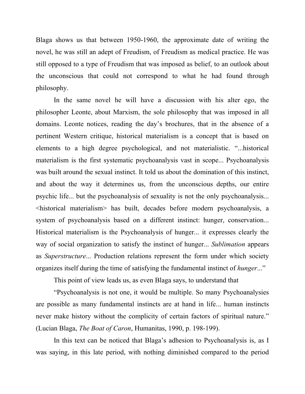Blaga shows us that between 1950-1960, the approximate date of writing the novel, he was still an adept of Freudism, of Freudism as medical practice. He was still opposed to a type of Freudism that was imposed as belief, to an outlook about the unconscious that could not correspond to what he had found through philosophy.

In the same novel he will have a discussion with his alter ego, the philosopher Leonte, about Marxism, the sole philosophy that was imposed in all domains. Leonte notices, reading the day's brochures, that in the absence of a pertinent Western critique, historical materialism is a concept that is based on elements to a high degree psychological, and not materialistic. "...historical materialism is the first systematic psychoanalysis vast in scope... Psychoanalysis was built around the sexual instinct. It told us about the domination of this instinct, and about the way it determines us, from the unconscious depths, our entire psychic life... but the psychoanalysis of sexuality is not the only psychoanalysis... <historical materialism> has built, decades before modern psychoanalysis, a system of psychoanalysis based on a different instinct: hunger, conservation... Historical materialism is the Psychoanalysis of hunger... it expresses clearly the way of social organization to satisfy the instinct of hunger... *Sublimation* appears as *Superstructure*... Production relations represent the form under which society organizes itself during the time of satisfying the fundamental instinct of *hunger*..."

This point of view leads us, as even Blaga says, to understand that

"Psychoanalysis is not one, it would be multiple. So many Psychoanalysies are possible as many fundamental instincts are at hand in life... human instincts never make history without the complicity of certain factors of spiritual nature." (Lucian Blaga, *The Boat of Caron*, Humanitas, 1990, p. 198-199).

In this text can be noticed that Blaga's adhesion to Psychoanalysis is, as I was saying, in this late period, with nothing diminished compared to the period